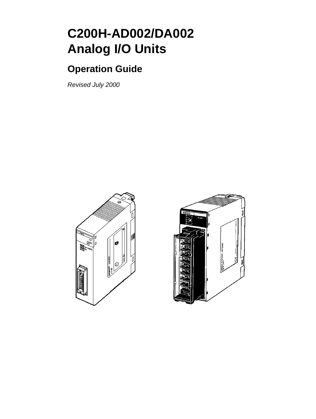# **C200H-AD002/DA002 Analog I/O Units**

# **Operation Guide**

Revised July 2000



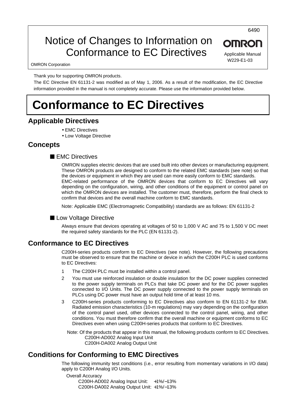# Notice of Changes to Information on Conformance to EC Directives

6490

Applicable Manual W229-E1-03

**OMRON** 

OMRON Corporation

Thank you for supporting OMRON products.

The EC Directive EN 61131-2 was modified as of May 1, 2006. As a result of the modification, the EC Directive information provided in the manual is not completely accurate. Please use the information provided below.

# **Conformance to EC Directives**

### **Applicable Directives**

- EMC Directives
- Low Voltage Directive

### **Concepts**

### ■ **EMC Directives**

OMRON supplies electric devices that are used built into other devices or manufacturing equipment. These OMRON products are designed to conform to the related EMC standards (see note) so that the devices or equipment in which they are used can more easily conform to EMC standards. EMC-related performance of the OMRON devices that conform to EC Directives will vary depending on the configuration, wiring, and other conditions of the equipment or control panel on which the OMRON devices are installed. The customer must, therefore, perform the final check to confirm that devices and the overall machine conform to EMC standards.

Note: Applicable EMC (Electromagnetic Compatibility) standards are as follows: EN 61131-2

### ■ Low Voltage Directive

Always ensure that devices operating at voltages of 50 to 1,000 V AC and 75 to 1,500 V DC meet the required safety standards for the PLC (EN 61131-2).

### **Conformance to EC Directives**

C200H-series products conform to EC Directives (see note). However, the following precautions must be observed to ensure that the machine or device in which the C200H PLC is used conforms to EC Directives:

- 1 The C200H PLC must be installed within a control panel.
- 2 You must use reinforced insulation or double insulation for the DC power supplies connected to the power supply terminals on PLCs that take DC power and for the DC power supplies connected to I/O Units. The DC power supply connected to the power supply terminals on PLCs using DC power must have an output hold time of at least 10 ms.
- 3 C200H-series products conforming to EC Directives also conform to EN 61131-2 for EMI. Radiated emission characteristics (10-m regulations) may vary depending on the configuration of the control panel used, other devices connected to the control panel, wiring, and other conditions. You must therefore confirm that the overall machine or equipment conforms to EC Directives even when using C200H-series products that conform to EC Directives.

Note: Of the products that appear in this manual, the following products conform to EC Directives. C200H-AD002 Analog Input Unit C200H-DA002 Analog Output Unit

### **Conditions for Conforming to EMC Directives**

The following immunity test conditions (i.e., error resulting from momentary variations in I/O data) apply to C200H Analog I/O Units.

Overall Accuracy C200H-AD002 Analog Input Unit: +1%/−13% C200H-DA002 Analog Output Unit: +1%/−13%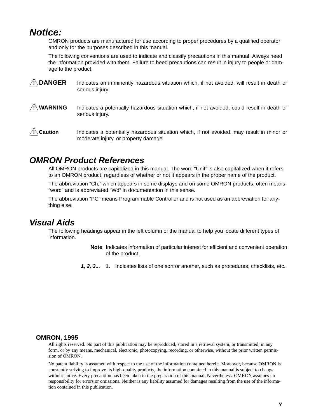## **Notice:**

OMRON products are manufactured for use according to proper procedures by a qualified operator and only for the purposes described in this manual.

The following conventions are used to indicate and classify precautions in this manual. Always heed the information provided with them. Failure to heed precautions can result in injury to people or damage to the product.

- **/!\DANGER DANGER** Indicates an imminently hazardous situation which, if not avoided, will result in death or serious injury.
- **! WARNING** Indicates a potentially hazardous situation which, if not avoided, could result in death or serious injury.
- **/!**∖Caution **Caution** Indicates a potentially hazardous situation which, if not avoided, may result in minor or moderate injury, or property damage.

## **OMRON Product References**

All OMRON products are capitalized in this manual. The word "Unit" is also capitalized when it refers to an OMRON product, regardless of whether or not it appears in the proper name of the product.

The abbreviation "Ch," which appears in some displays and on some OMRON products, often means "word" and is abbreviated "Wd" in documentation in this sense.

The abbreviation "PC" means Programmable Controller and is not used as an abbreviation for anything else.

## **Visual Aids**

The following headings appear in the left column of the manual to help you locate different types of information.

- **Note** Indicates information of particular interest for efficient and convenient operation of the product.
- **1, 2, 3...** 1. Indicates lists of one sort or another, such as procedures, checklists, etc.

### **OMRON, 1995**

All rights reserved. No part of this publication may be reproduced, stored in a retrieval system, or transmitted, in any form, or by any means, mechanical, electronic, photocopying, recording, or otherwise, without the prior written permission of OMRON.

No patent liability is assumed with respect to the use of the information contained herein. Moreover, because OMRON is constantly striving to improve its high-quality products, the information contained in this manual is subject to change without notice. Every precaution has been taken in the preparation of this manual. Nevertheless, OMRON assumes no responsibility for errors or omissions. Neither is any liability assumed for damages resulting from the use of the information contained in this publication.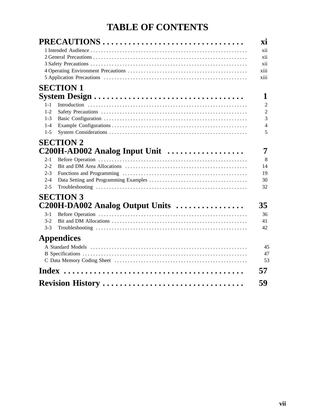# **TABLE OF CONTENTS**

|         | PRECAUTIONS                                                               | XÌ             |  |  |  |  |  |
|---------|---------------------------------------------------------------------------|----------------|--|--|--|--|--|
| xii     |                                                                           |                |  |  |  |  |  |
| xii     |                                                                           |                |  |  |  |  |  |
| xii     |                                                                           |                |  |  |  |  |  |
|         |                                                                           | xiii           |  |  |  |  |  |
|         |                                                                           | xiii           |  |  |  |  |  |
|         | <b>SECTION 1</b>                                                          |                |  |  |  |  |  |
|         |                                                                           | 1              |  |  |  |  |  |
| $1 - 1$ |                                                                           | $\overline{2}$ |  |  |  |  |  |
| $1-2$   |                                                                           | $\overline{2}$ |  |  |  |  |  |
| $1 - 3$ |                                                                           | $\overline{3}$ |  |  |  |  |  |
| $1 - 4$ |                                                                           | $\overline{4}$ |  |  |  |  |  |
| $1 - 5$ |                                                                           | 5              |  |  |  |  |  |
|         | <b>SECTION 2</b>                                                          |                |  |  |  |  |  |
|         | $C200H$ -AD002 Analog Input Unit $\ldots \ldots \ldots \ldots \ldots$     | 7              |  |  |  |  |  |
| $2 - 1$ |                                                                           | 8              |  |  |  |  |  |
| $2-2$   |                                                                           | 14             |  |  |  |  |  |
| $2 - 3$ |                                                                           | 19             |  |  |  |  |  |
| $2 - 4$ |                                                                           | 30             |  |  |  |  |  |
| $2 - 5$ |                                                                           | 32             |  |  |  |  |  |
|         | <b>SECTION 3</b>                                                          |                |  |  |  |  |  |
|         | $C200H\text{-}DA002$ Analog Output Units $\ldots\ldots\ldots\ldots\ldots$ | 35             |  |  |  |  |  |
| $3-1$   |                                                                           | 36             |  |  |  |  |  |
| $3-2$   |                                                                           | 41             |  |  |  |  |  |
| $3-3$   |                                                                           | 42             |  |  |  |  |  |
|         | <b>Appendices</b>                                                         |                |  |  |  |  |  |
|         |                                                                           | 45             |  |  |  |  |  |
|         |                                                                           | 47             |  |  |  |  |  |
|         |                                                                           | 53             |  |  |  |  |  |
|         |                                                                           | 57             |  |  |  |  |  |
|         |                                                                           |                |  |  |  |  |  |
|         | Revision History                                                          | 59             |  |  |  |  |  |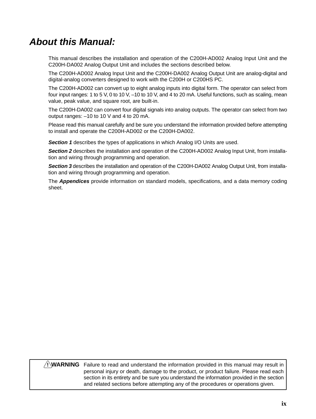# **About this Manual:**

This manual describes the installation and operation of the C200H-AD002 Analog Input Unit and the C200H-DA002 Analog Output Unit and includes the sections described below.

The C200H-AD002 Analog Input Unit and the C200H-DA002 Analog Output Unit are analog-digital and digital-analog converters designed to work with the C200H or C200HS PC.

The C200H-AD002 can convert up to eight analog inputs into digital form. The operator can select from four input ranges: 1 to 5 V, 0 to 10 V, –10 to 10 V, and 4 to 20 mA. Useful functions, such as scaling, mean value, peak value, and square root, are built-in.

The C200H-DA002 can convert four digital signals into analog outputs. The operator can select from two output ranges: –10 to 10 V and 4 to 20 mA.

Please read this manual carefully and be sure you understand the information provided before attempting to install and operate the C200H-AD002 or the C200H-DA002.

**Section 1** describes the types of applications in which Analog I/O Units are used.

**Section 2** describes the installation and operation of the C200H-AD002 Analog Input Unit, from installation and wiring through programming and operation.

**Section 3** describes the installation and operation of the C200H-DA002 Analog Output Unit, from installation and wiring through programming and operation.

The **Appendices** provide information on standard models, specifications, and a data memory coding sheet.

### **WARNING** Failure to read and understand the information provided in this manual may result in **!**personal injury or death, damage to the product, or product failure. Please read each section in its entirety and be sure you understand the information provided in the section and related sections before attempting any of the procedures or operations given.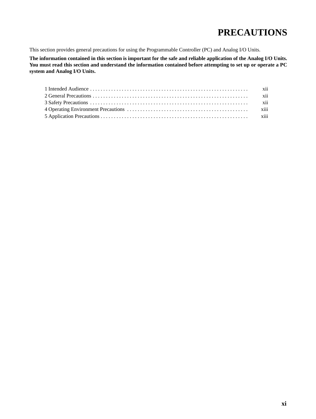# **PRECAUTIONS**

This section provides general precautions for using the Programmable Controller (PC) and Analog I/O Units.

**The information contained in this section is important for the safe and reliable application of the Analog I/O Units. You must read this section and understand the information contained before attempting to set up or operate a PC system and Analog I/O Units.**

| xii  |
|------|
| xii  |
| xiii |
|      |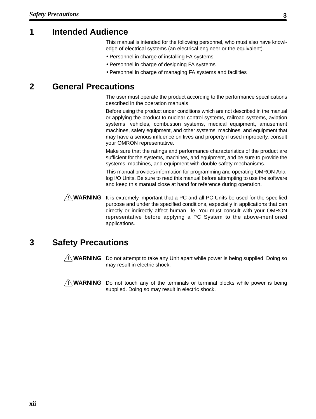## **1 Intended Audience**

This manual is intended for the following personnel, who must also have knowledge of electrical systems (an electrical engineer or the equivalent).

- Personnel in charge of installing FA systems
- Personnel in charge of designing FA systems
- Personnel in charge of managing FA systems and facilities

## **2 General Precautions**

The user must operate the product according to the performance specifications described in the operation manuals.

Before using the product under conditions which are not described in the manual or applying the product to nuclear control systems, railroad systems, aviation systems, vehicles, combustion systems, medical equipment, amusement machines, safety equipment, and other systems, machines, and equipment that may have a serious influence on lives and property if used improperly, consult your OMRON representative.

Make sure that the ratings and performance characteristics of the product are sufficient for the systems, machines, and equipment, and be sure to provide the systems, machines, and equipment with double safety mechanisms.

This manual provides information for programming and operating OMRON Analog I/O Units. Be sure to read this manual before attempting to use the software and keep this manual close at hand for reference during operation.

**! WARNING** It is extremely important that a PC and all PC Units be used for the specified purpose and under the specified conditions, especially in applications that can directly or indirectly affect human life. You must consult with your OMRON representative before applying a PC System to the above-mentioned applications.

## **3 Safety Precautions**

**! WARNING** Do not attempt to take any Unit apart while power is being supplied. Doing so may result in electric shock.

**! WARNING** Do not touch any of the terminals or terminal blocks while power is being supplied. Doing so may result in electric shock.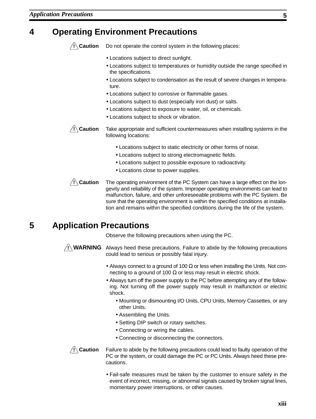## **4 Operating Environment Precautions**



Do not operate the control system in the following places:

- Locations subject to direct sunlight.
- Locations subject to temperatures or humidity outside the range specified in the specifications.
- Locations subject to condensation as the result of severe changes in temperature.
- Locations subject to corrosive or flammable gases.
- Locations subject to dust (especially iron dust) or salts.
- Locations subject to exposure to water, oil, or chemicals.
- Locations subject to shock or vibration.
- **/!∖Caution** Take appropriate and sufficient countermeasures when installing systems in the following locations:
	- Locations subject to static electricity or other forms of noise.
	- Locations subject to strong electromagnetic fields.
	- Locations subject to possible exposure to radioactivity.
	- Locations close to power supplies.

**/!∖Caution** The operating environment of the PC System can have a large effect on the longevity and reliability of the system. Improper operating environments can lead to malfunction, failure, and other unforeseeable problems with the PC System. Be sure that the operating environment is within the specified conditions at installation and remains within the specified conditions during the life of the system.

## **5 Application Precautions**

Observe the following precautions when using the PC.

**! WARNING** Always heed these precautions. Failure to abide by the following precautions could lead to serious or possibly fatal injury.

- Always connect to a ground of 100  $\Omega$  or less when installing the Units. Not connecting to a ground of 100  $\Omega$  or less may result in electric shock.
- Always turn off the power supply to the PC before attempting any of the following. Not turning off the power supply may result in malfunction or electric shock.
	- Mounting or dismounting I/O Units, CPU Units, Memory Cassettes, or any other Units.
	- Assembling the Units.
	- Setting DIP switch or rotary switches.
	- Connecting or wiring the cables.
	- Connecting or disconnecting the connectors.

**/!**∖ Caution

Failure to abide by the following precautions could lead to faulty operation of the PC or the system, or could damage the PC or PC Units. Always heed these precautions.

• Fail-safe measures must be taken by the customer to ensure safety in the event of incorrect, missing, or abnormal signals caused by broken signal lines, momentary power interruptions, or other causes.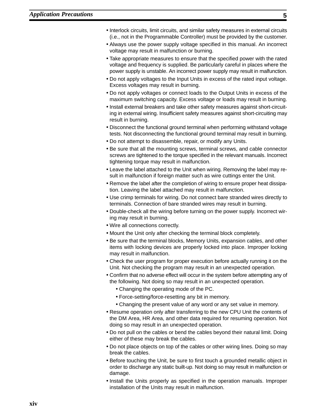- Interlock circuits, limit circuits, and similar safety measures in external circuits (i.e., not in the Programmable Controller) must be provided by the customer.
- Always use the power supply voltage specified in this manual. An incorrect voltage may result in malfunction or burning.
- Take appropriate measures to ensure that the specified power with the rated voltage and frequency is supplied. Be particularly careful in places where the power supply is unstable. An incorrect power supply may result in malfunction.
- Do not apply voltages to the Input Units in excess of the rated input voltage. Excess voltages may result in burning.
- Do not apply voltages or connect loads to the Output Units in excess of the maximum switching capacity. Excess voltage or loads may result in burning.
- Install external breakers and take other safety measures against short-circuiting in external wiring. Insufficient safety measures against short-circuiting may result in burning.
- Disconnect the functional ground terminal when performing withstand voltage tests. Not disconnecting the functional ground terminal may result in burning.
- Do not attempt to disassemble, repair, or modify any Units.
- Be sure that all the mounting screws, terminal screws, and cable connector screws are tightened to the torque specified in the relevant manuals. Incorrect tightening torque may result in malfunction.
- Leave the label attached to the Unit when wiring. Removing the label may result in malfunction if foreign matter such as wire cuttings enter the Unit.
- Remove the label after the completion of wiring to ensure proper heat dissipation. Leaving the label attached may result in malfunction.
- Use crimp terminals for wiring. Do not connect bare stranded wires directly to terminals. Connection of bare stranded wires may result in burning.
- Double-check all the wiring before turning on the power supply. Incorrect wiring may result in burning.
- Wire all connections correctly.
- Mount the Unit only after checking the terminal block completely.
- Be sure that the terminal blocks, Memory Units, expansion cables, and other items with locking devices are properly locked into place. Improper locking may result in malfunction.
- Check the user program for proper execution before actually running it on the Unit. Not checking the program may result in an unexpected operation.
- Confirm that no adverse effect will occur in the system before attempting any of the following. Not doing so may result in an unexpected operation.
	- Changing the operating mode of the PC.
	- Force-setting/force-resetting any bit in memory.
	- Changing the present value of any word or any set value in memory.
- Resume operation only after transferring to the new CPU Unit the contents of the DM Area, HR Area, and other data required for resuming operation. Not doing so may result in an unexpected operation.
- Do not pull on the cables or bend the cables beyond their natural limit. Doing either of these may break the cables.
- Do not place objects on top of the cables or other wiring lines. Doing so may break the cables.
- Before touching the Unit, be sure to first touch a grounded metallic object in order to discharge any static built-up. Not doing so may result in malfunction or damage.
- Install the Units properly as specified in the operation manuals. Improper installation of the Units may result in malfunction.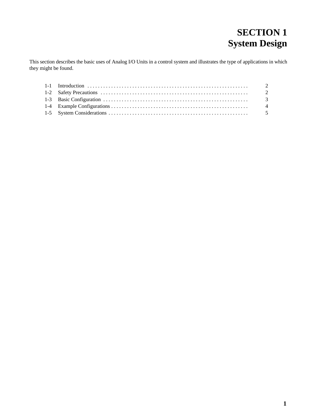# **SECTION 1 System Design**

This section describes the basic uses of Analog I/O Units in a control system and illustrates the type of applications in which they might be found.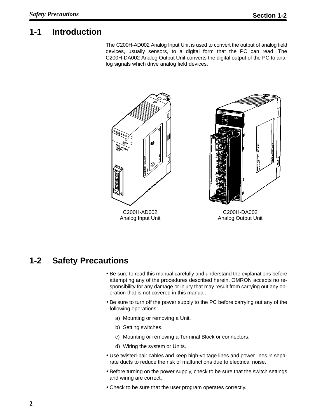## **1-1 Introduction**

The C200H-AD002 Analog Input Unit is used to convert the output of analog field devices, usually sensors, to a digital form that the PC can read. The C200H-DA002 Analog Output Unit converts the digital output of the PC to analog signals which drive analog field devices.



## **1-2 Safety Precautions**

- Be sure to read this manual carefully and understand the explanations before attempting any of the procedures described herein. OMRON accepts no responsibility for any damage or injury that may result from carrying out any operation that is not covered in this manual.
- Be sure to turn off the power supply to the PC before carrying out any of the following operations:
	- a) Mounting or removing a Unit.
	- b) Setting switches.
	- c) Mounting or removing a Terminal Block or connectors.
	- d) Wiring the system or Units.
- Use twisted-pair cables and keep high-voltage lines and power lines in separate ducts to reduce the risk of malfunctions due to electrical noise.
- Before turning on the power supply, check to be sure that the switch settings and wiring are correct.
- Check to be sure that the user program operates correctly.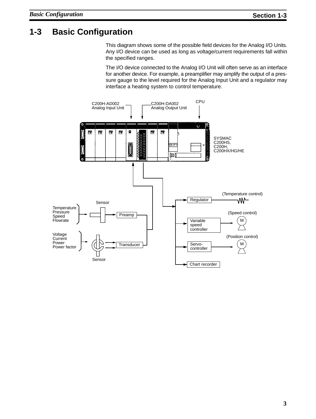## **1-3 Basic Configuration**

This diagram shows some of the possible field devices for the Analog I/O Units. Any I/O device can be used as long as voltage/current requirements fall within the specified ranges.

The I/O device connected to the Analog I/O Unit will often serve as an interface for another device. For example, a preamplifier may amplify the output of a pressure gauge to the level required for the Analog Input Unit and a regulator may interface a heating system to control temperature.

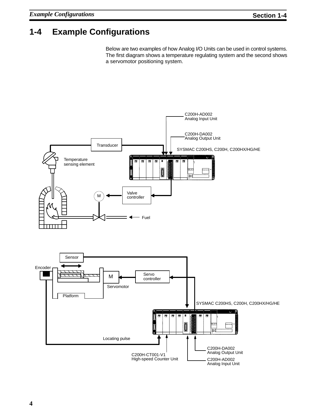# **1-4 Example Configurations**

Below are two examples of how Analog I/O Units can be used in control systems. The first diagram shows a temperature regulating system and the second shows a servomotor positioning system.

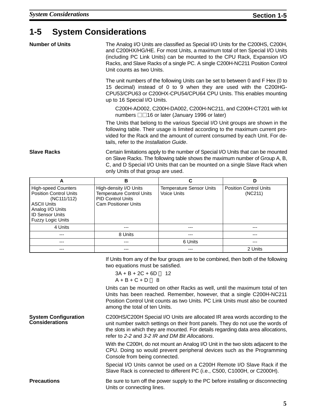## **1-5 System Considerations**

| <b>Number of Units</b>     |                                                                                                                                                                                                                                               | The Analog I/O Units are classified as Special I/O Units for the C200HS, C200H,<br>and C200HX/HG/HE. For most Units, a maximum total of ten Special I/O Units<br>(including PC Link Units) can be mounted to the CPU Rack, Expansion I/O<br>Racks, and Slave Racks of a single PC. A single C200H-NC211 Position Control<br>Unit counts as two Units. |                                                                                                                                                                                                                                               |  |  |  |  |
|----------------------------|-----------------------------------------------------------------------------------------------------------------------------------------------------------------------------------------------------------------------------------------------|-------------------------------------------------------------------------------------------------------------------------------------------------------------------------------------------------------------------------------------------------------------------------------------------------------------------------------------------------------|-----------------------------------------------------------------------------------------------------------------------------------------------------------------------------------------------------------------------------------------------|--|--|--|--|
|                            | up to 16 Special I/O Units.                                                                                                                                                                                                                   |                                                                                                                                                                                                                                                                                                                                                       | The unit numbers of the following Units can be set to between 0 and F Hex (0 to<br>15 decimal) instead of 0 to 9 when they are used with the C200HG-<br>CPU53/CPU63 or C200HX-CPU54/CPU64 CPU Units. This enables mounting                    |  |  |  |  |
|                            | C200H-AD002, C200H-DA002, C200H-NC211, and C200H-CT201 with lot<br>numbers $\Box$ 16 or later (January 1996 or later)                                                                                                                         |                                                                                                                                                                                                                                                                                                                                                       |                                                                                                                                                                                                                                               |  |  |  |  |
|                            | The Units that belong to the various Special I/O Unit groups are shown in the<br>following table. Their usage is limited according to the maximum current pro-<br>vided for the Rack and the amount of current consumed by each Unit. For de- |                                                                                                                                                                                                                                                                                                                                                       |                                                                                                                                                                                                                                               |  |  |  |  |
| <b>Slave Racks</b>         | only Units of that group are used.                                                                                                                                                                                                            |                                                                                                                                                                                                                                                                                                                                                       | Certain limitations apply to the number of Special I/O Units that can be mounted<br>on Slave Racks. The following table shows the maximum number of Group A, B,<br>C, and D Special I/O Units that can be mounted on a single Slave Rack when |  |  |  |  |
| A                          | в                                                                                                                                                                                                                                             | C                                                                                                                                                                                                                                                                                                                                                     | D                                                                                                                                                                                                                                             |  |  |  |  |
| <b>High-speed Counters</b> | High-density I/O Units                                                                                                                                                                                                                        | <b>Temperature Sensor Units</b>                                                                                                                                                                                                                                                                                                                       | <b>Position Control Units</b>                                                                                                                                                                                                                 |  |  |  |  |

| <b>High-speed Counters</b><br><b>Position Control Units</b><br>(NC111/112)<br><b>ASCII Units</b><br>Analog I/O Units<br><b>ID Sensor Units</b><br><b>Fuzzy Logic Units</b> | High-density I/O Units<br><b>Temperature Control Units</b><br><b>PID Control Units</b><br><b>Cam Positioner Units</b> | <b>Temperature Sensor Units</b><br>Voice Units | <b>Position Control Units</b><br>(NC211) |
|----------------------------------------------------------------------------------------------------------------------------------------------------------------------------|-----------------------------------------------------------------------------------------------------------------------|------------------------------------------------|------------------------------------------|
| 4 Units                                                                                                                                                                    | ---                                                                                                                   | ---                                            | ---                                      |
| ---                                                                                                                                                                        | 8 Units                                                                                                               | ---                                            | ---                                      |
| ---                                                                                                                                                                        | ---                                                                                                                   | 6 Units                                        | ---                                      |
| ---                                                                                                                                                                        |                                                                                                                       |                                                | 2 Units                                  |

If Units from any of the four groups are to be combined, then both of the following two equations must be satisfied.

 $3A + B + 2C + 6D \Box$  12  $A + B + C + D \sqcap 8$ 

Units can be mounted on other Racks as well, until the maximum total of ten Units has been reached. Remember, however, that a single C200H-NC211 Position Control Unit counts as two Units. PC Link Units must also be counted among the total of ten Units.

C200HS/C200H Special I/O Units are allocated IR area words according to the unit number switch settings on their front panels. They do not use the words of the slots in which they are mounted. For details regarding data area allocations, refer to 2-2 and 3-2 IR and DM Bit Allocations. **System Configuration Considerations**

> With the C200H, do not mount an Analog I/O Unit in the two slots adjacent to the CPU. Doing so would prevent peripheral devices such as the Programming Console from being connected.

> Special I/O Units cannot be used on a C200H Remote I/O Slave Rack if the Slave Rack is connected to different PC (i.e., C500, C1000H, or C2000H).

**Precautions** Be sure to turn off the power supply to the PC before installing or disconnecting Units or connecting lines.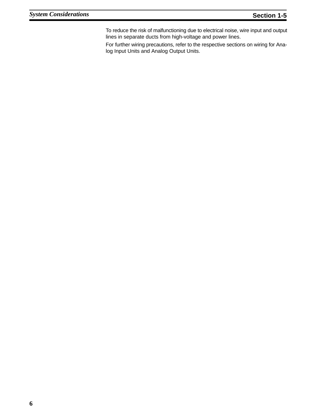To reduce the risk of malfunctioning due to electrical noise, wire input and output lines in separate ducts from high-voltage and power lines.

For further wiring precautions, refer to the respective sections on wiring for Analog Input Units and Analog Output Units.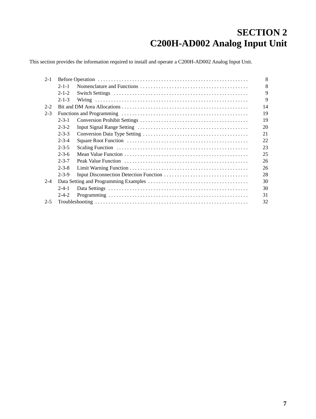# **SECTION 2 C200H-AD002 Analog Input Unit**

This section provides the information required to install and operate a C200H-AD002 Analog Input Unit.

| $2 - 1$ |             |  |             |  |  |  |
|---------|-------------|--|-------------|--|--|--|
|         | $2 - 1 - 1$ |  | 8           |  |  |  |
|         | $2 - 1 - 2$ |  | 9           |  |  |  |
|         | $2 - 1 - 3$ |  | $\mathbf Q$ |  |  |  |
| $2 - 2$ |             |  | 14          |  |  |  |
| $2 - 3$ |             |  | 19          |  |  |  |
|         | $2 - 3 - 1$ |  | 19          |  |  |  |
|         | $2 - 3 - 2$ |  | 20          |  |  |  |
|         | $2 - 3 - 3$ |  | 21          |  |  |  |
|         | $2 - 3 - 4$ |  | 22          |  |  |  |
|         | $2 - 3 - 5$ |  | 23          |  |  |  |
|         | $2 - 3 - 6$ |  | 25          |  |  |  |
|         | $2 - 3 - 7$ |  | 26          |  |  |  |
|         | $2 - 3 - 8$ |  | 26          |  |  |  |
|         | $2 - 3 - 9$ |  | 28          |  |  |  |
| $2 - 4$ |             |  | 30          |  |  |  |
|         | $2 - 4 - 1$ |  | 30          |  |  |  |
|         | $2 - 4 - 2$ |  | 31          |  |  |  |
| $2 - 5$ |             |  | 32          |  |  |  |
|         |             |  |             |  |  |  |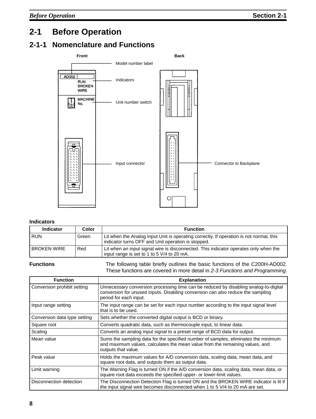# **2-1 Before Operation**

## **2-1-1 Nomenclature and Functions**



### **Indicators**

| <b>Indicator</b>   | Color | <b>Function</b>                                                                                                                               |
|--------------------|-------|-----------------------------------------------------------------------------------------------------------------------------------------------|
| <b>RUN</b>         | Green | Lit when the Analog Input Unit is operating correctly. If operation is not normal, this<br>indicator turns OFF and Unit operation is stopped. |
| <b>BROKEN WIRE</b> | Red   | Lit when an input signal wire is disconnected. This indicator operates only when the<br>input range is set to 1 to 5 V/4 to 20 mA.            |

**Functions** The following table briefly outlines the basic functions of the C200H-AD002. These functions are covered in more detail in 2-3 Functions and Programming.

| <b>Function</b>              | <b>Explanation</b>                                                                                                                                                                                |
|------------------------------|---------------------------------------------------------------------------------------------------------------------------------------------------------------------------------------------------|
| Conversion prohibit setting  | Unnecessary conversion processing time can be reduced by disabling analog-to-digital<br>conversion for unused inputs. Disabling conversion can also reduce the sampling<br>period for each input. |
| Input range setting          | The input range can be set for each input number according to the input signal level<br>that is to be used.                                                                                       |
| Conversion data type setting | Sets whether the converted digital output is BCD or binary.                                                                                                                                       |
| Square root                  | Converts quadratic data, such as thermocouple input, to linear data.                                                                                                                              |
| Scaling                      | Converts an analog input signal to a preset range of BCD data for output.                                                                                                                         |
| Mean value                   | Sums the sampling data for the specified number of samples, eliminates the minimum<br>and maximum values, calculates the mean value from the remaining values, and<br>outputs that value.         |
| Peak value                   | Holds the maximum values for A/D conversion data, scaling data, mean data, and<br>square root data, and outputs them as output data.                                                              |
| Limit warning                | The Warning Flag is turned ON if the A/D conversion data, scaling data, mean data, or<br>square root data exceeds the specified upper- or lower-limit values.                                     |
| Disconnection detection      | The Disconnection Detection Flag is turned ON and the BROKEN WIRE indicator is lit if<br>the input signal wire becomes disconnected when 1 to 5 V/4 to 20 mA are set.                             |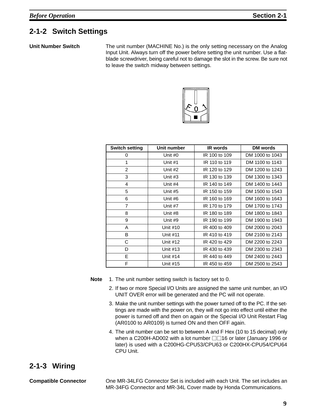## **2-1-2 Switch Settings**

**Unit Number Switch** The unit number (MACHINE No.) is the only setting necessary on the Analog Input Unit. Always turn off the power before setting the unit number. Use a flatblade screwdriver, being careful not to damage the slot in the screw. Be sure not to leave the switch midway between settings.



| <b>Switch setting</b> | Unit number     | <b>IR</b> words | DM words        |
|-----------------------|-----------------|-----------------|-----------------|
| 0                     | Unit #0         | IR 100 to 109   | DM 1000 to 1043 |
| 1                     | Unit $#1$       | IR 110 to 119   | DM 1100 to 1143 |
| 2                     | Unit #2         | IR 120 to 129   | DM 1200 to 1243 |
| 3                     | Unit #3         | IR 130 to 139   | DM 1300 to 1343 |
| 4                     | Unit #4         | IR 140 to 149   | DM 1400 to 1443 |
| 5                     | Unit #5         | IR 150 to 159   | DM 1500 to 1543 |
| 6                     | Unit #6         | IR 160 to 169   | DM 1600 to 1643 |
| $\overline{7}$        | Unit #7         | IR 170 to 179   | DM 1700 to 1743 |
| 8<br>Unit #8          |                 | IR 180 to 189   | DM 1800 to 1843 |
| 9<br>Unit #9          |                 | IR 190 to 199   | DM 1900 to 1943 |
| A                     | Unit #10        | IR 400 to 409   | DM 2000 to 2043 |
| B                     | <b>Unit #11</b> | IR 410 to 419   | DM 2100 to 2143 |
| C                     | Unit #12        | IR 420 to 429   | DM 2200 to 2243 |
| D                     | Unit #13        | IR 430 to 439   | DM 2300 to 2343 |
| E                     | Unit #14        | IR 440 to 449   | DM 2400 to 2443 |
| F                     | Unit #15        | IR 450 to 459   | DM 2500 to 2543 |

**Note** 1. The unit number setting switch is factory set to 0.

- 2. If two or more Special I/O Units are assigned the same unit number, an I/O UNIT OVER error will be generated and the PC will not operate.
- 3. Make the unit number settings with the power turned off to the PC. If the settings are made with the power on, they will not go into effect until either the power is turned off and then on again or the Special I/O Unit Restart Flag (AR0100 to AR0109) is turned ON and then OFF again.
- 4. The unit number can be set to between A and F Hex (10 to 15 decimal) only when a C200H-AD002 with a lot number  $\Box$ 16 or later (January 1996 or later) is used with a C200HG-CPU53/CPU63 or C200HX-CPU54/CPU64 CPU Unit.

## **2-1-3 Wiring**

**Compatible Connector** One MR-34LFG Connector Set is included with each Unit. The set includes an MR-34FG Connector and MR-34L Cover made by Honda Communications.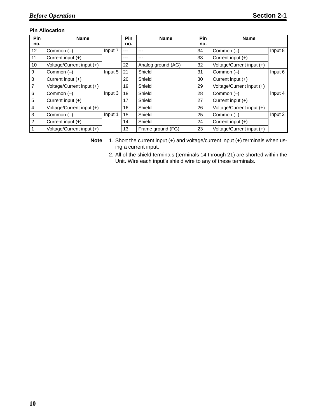### **Pin Allocation**

| Pin             | <b>Name</b>               |         | Pin   | <b>Name</b>        | Pin | <b>Name</b>               |         |
|-----------------|---------------------------|---------|-------|--------------------|-----|---------------------------|---------|
| no.             |                           |         | no.   |                    | no. |                           |         |
| 12              | Common $(-)$              | Input 7 | ---   | ---                | 34  | Common $(-)$              | Input 8 |
| 11              | Current input (+)         |         | $---$ | ---                | 33  | Current input (+)         |         |
| 10              | Voltage/Current input (+) |         | 22    | Analog ground (AG) | 32  | Voltage/Current input (+) |         |
| <b>9</b>        | Common $(-)$              | Input 5 | 21    | Shield             | 31  | Common $(-)$              | Input 6 |
| $\bf{8}$        | Current input (+)         |         | 20    | Shield             | 30  | Current input $(+)$       |         |
| $\overline{7}$  | Voltage/Current input (+) |         | 19    | Shield             | 29  | Voltage/Current input (+) |         |
| 6               | Common $(-)$              | Input 3 | 18    | Shield             | 28  | Common $(-)$              | Input 4 |
| $5\phantom{.0}$ | Current input (+)         |         | 17    | Shield             | 27  | Current input (+)         |         |
| $\overline{4}$  | Voltage/Current input (+) |         | 16    | Shield             | 26  | Voltage/Current input (+) |         |
| $\mathbf{3}$    | Common $(-)$              | Input 1 | 15    | Shield             | 25  | Common $(-)$              | Input 2 |
| $\overline{2}$  | Current input (+)         |         | 14    | Shield             | 24  | Current input (+)         |         |
|                 | Voltage/Current input (+) |         | 13    | Frame ground (FG)  | 23  | Voltage/Current input (+) |         |

**Note** 1. Short the current input (+) and voltage/current input (+) terminals when using a current input.

2. All of the shield terminals (terminals 14 through 21) are shorted within the Unit. Wire each input's shield wire to any of these terminals.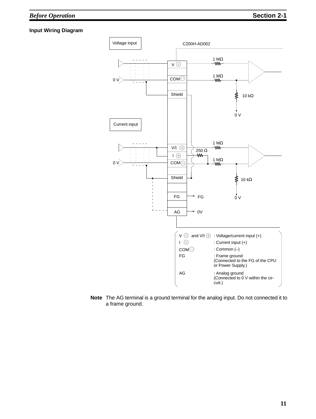### **Input Wiring Diagram**



**Note** The AG terminal is a ground terminal for the analog input. Do not connected it to a frame ground.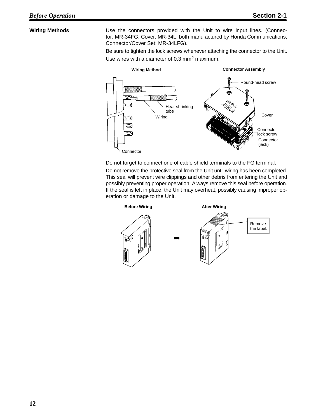Wiring Methods **Use the connectors provided with the Unit to wire input lines. (Connec**tor: MR-34FG; Cover: MR-34L; both manufactured by Honda Communications; Connector/Cover Set: MR-34LFG).

> Be sure to tighten the lock screws whenever attaching the connector to the Unit. Use wires with a diameter of 0.3 mm2 maximum.



Do not forget to connect one of cable shield terminals to the FG terminal.

Do not remove the protective seal from the Unit until wiring has been completed. This seal will prevent wire clippings and other debris from entering the Unit and possibly preventing proper operation. Always remove this seal before operation. If the seal is left in place, the Unit may overheat, possibly causing improper operation or damage to the Unit.

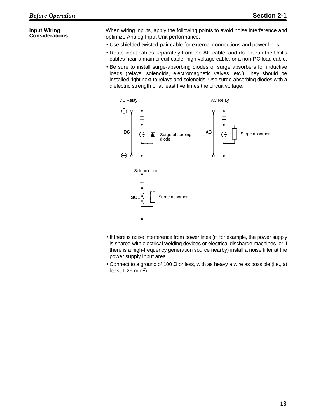### **Input Wiring Considerations**

When wiring inputs, apply the following points to avoid noise interference and optimize Analog Input Unit performance.

- Use shielded twisted-pair cable for external connections and power lines.
- Route input cables separately from the AC cable, and do not run the Unit's cables near a main circuit cable, high voltage cable, or a non-PC load cable.
- Be sure to install surge-absorbing diodes or surge absorbers for inductive loads (relays, solenoids, electromagnetic valves, etc.) They should be installed right next to relays and solenoids. Use surge-absorbing diodes with a dielectric strength of at least five times the circuit voltage.



- If there is noise interference from power lines (if, for example, the power supply is shared with electrical welding devices or electrical discharge machines, or if there is a high-frequency generation source nearby) install a noise filter at the power supply input area.
- Connect to a ground of 100  $\Omega$  or less, with as heavy a wire as possible (i.e., at least  $1.25$  mm<sup>2</sup>).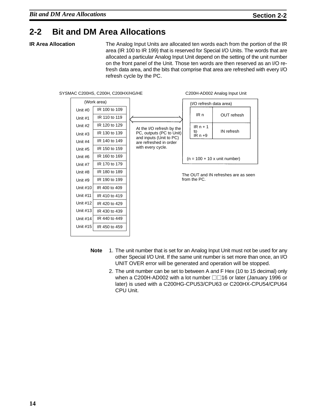## **2-2 Bit and DM Area Allocations**

**IR Area Allocation** The Analog Input Units are allocated ten words each from the portion of the IR area (IR 100 to IR 199) that is reserved for Special I/O Units. The words that are allocated a particular Analog Input Unit depend on the setting of the unit number on the front panel of the Unit. Those ten words are then reserved as an I/O refresh data area, and the bits that comprise that area are refreshed with every I/O refresh cycle by the PC.



- **Note** 1. The unit number that is set for an Analog Input Unit must not be used for any other Special I/O Unit. If the same unit number is set more than once, an I/O UNIT OVER error will be generated and operation will be stopped.
	- 2. The unit number can be set to between A and F Hex (10 to 15 decimal) only when a C200H-AD002 with a lot number  $\Box$ 16 or later (January 1996 or later) is used with a C200HG-CPU53/CPU63 or C200HX-CPU54/CPU64 CPU Unit.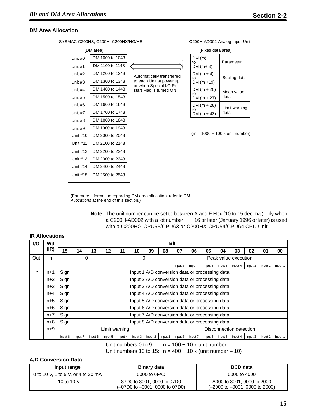### **DM Area Allocation**

SYSMAC C200HS, C200H, C200HX/HG/HE C200H C200H-AD002 Analog Input Unit

Unit #15 DM 2500 to 2543

| (DM area) |                 |                                                     | (Fixed data area)   |                                          |  |
|-----------|-----------------|-----------------------------------------------------|---------------------|------------------------------------------|--|
| Unit #0   | DM 1000 to 1043 |                                                     | DM(m)<br>tο         | Parameter                                |  |
| Unit #1   | DM 1100 to 1143 |                                                     | DM $(m+3)$          |                                          |  |
| Unit #2   | DM 1200 to 1243 | Automatically transferred                           | DM $(m + 4)$        |                                          |  |
| Unit #3   | DM 1300 to 1343 | to each Unit at power up<br>or when Special I/O Re- | to<br>$DM (m + 19)$ | Scaling data                             |  |
| Unit #4   | DM 1400 to 1443 | start Flag is turned ON.                            | $DM(m + 20)$<br>to  | Mean value                               |  |
| Unit #5   | DM 1500 to 1543 |                                                     | $DM (m + 27)$       | data                                     |  |
| Unit #6   | DM 1600 to 1643 |                                                     | $DM (m + 28)$       | Limit warning                            |  |
| Unit #7   | DM 1700 to 1743 |                                                     | to<br>$DM (m + 43)$ | data                                     |  |
| Unit #8   | DM 1800 to 1843 |                                                     |                     |                                          |  |
| Unit #9   | DM 1900 to 1943 |                                                     |                     |                                          |  |
| Unit #10  | DM 2000 to 2043 |                                                     |                     | $(m = 1000 + 100 x \text{ unit number})$ |  |
| Unit #11  | DM 2100 to 2143 |                                                     |                     |                                          |  |
| Unit #12  | DM 2200 to 2243 |                                                     |                     |                                          |  |
| Unit #13  | DM 2300 to 2343 |                                                     |                     |                                          |  |
| Unit #14  | DM 2400 to 2443 |                                                     |                     |                                          |  |
|           |                 |                                                     |                     |                                          |  |

(For more information regarding DM area allocation, refer to DM Allocations at the end of this section.)

| <b>Note</b> The unit number can be set to between A and F Hex (10 to 15 decimal) only when |
|--------------------------------------------------------------------------------------------|
| a C200H-AD002 with a lot number □□16 or later (January 1996 or later) is used              |
| with a C200HG-CPU53/CPU63 or C200HX-CPU54/CPU64 CPU Unit.                                  |

| <b>VO</b> | Wd    |         |                                                |                                                |               |         |                           |         | <b>Bit</b> |                                                |         |         |         |         |         |         |         |
|-----------|-------|---------|------------------------------------------------|------------------------------------------------|---------------|---------|---------------------------|---------|------------|------------------------------------------------|---------|---------|---------|---------|---------|---------|---------|
|           | (IR)  | 15      | 14                                             | 13                                             | 12            | 11      | 10                        | 09      | 08         | 07                                             | 06      | 05      | 04      | 03      | 02      | 01      | 00      |
| Out       | n     |         |                                                | 0                                              |               |         | 0<br>Peak value execution |         |            |                                                |         |         |         |         |         |         |         |
|           |       |         |                                                |                                                |               |         |                           |         |            | Input 8                                        | Input 7 | Input 6 | Input 5 | Input 4 | Input 3 | Input 2 | Input 1 |
| In        | $n+1$ | Sign    |                                                | Input 1 A/D conversion data or processing data |               |         |                           |         |            |                                                |         |         |         |         |         |         |         |
|           | $n+2$ | Sign    |                                                | Input 2 A/D conversion data or processing data |               |         |                           |         |            |                                                |         |         |         |         |         |         |         |
|           | $n+3$ | Sign    |                                                | Input 3 A/D conversion data or processing data |               |         |                           |         |            |                                                |         |         |         |         |         |         |         |
|           | $n+4$ | Sign    |                                                | Input 4 A/D conversion data or processing data |               |         |                           |         |            |                                                |         |         |         |         |         |         |         |
|           | $n+5$ | Sign    |                                                |                                                |               |         |                           |         |            | Input 5 A/D conversion data or processing data |         |         |         |         |         |         |         |
|           | $n+6$ | Sign    |                                                |                                                |               |         |                           |         |            | Input 6 A/D conversion data or processing data |         |         |         |         |         |         |         |
|           | $n+7$ | Sign    |                                                |                                                |               |         |                           |         |            | Input 7 A/D conversion data or processing data |         |         |         |         |         |         |         |
|           | $n+8$ | Sign    | Input 8 A/D conversion data or processing data |                                                |               |         |                           |         |            |                                                |         |         |         |         |         |         |         |
|           | $n+9$ |         |                                                |                                                | Limit warning |         |                           |         |            | Disconnection detection                        |         |         |         |         |         |         |         |
|           |       | Input 8 | Input 7                                        | Input 6                                        | Input 5       | Input 4 | Input 3                   | Input 2 | Input 1    | Input 8                                        | Input 7 | Input 6 | Input 5 | Input 4 | Input 3 | Input 2 | Input 1 |

### **IR Allocations**

Unit numbers 0 to 9:  $n = 100 + 10x$  unit number

Unit numbers 10 to 15:  $n = 400 + 10 \times (unit number - 10)$ 

### **A/D Conversion Data**

| Input range                        | <b>Binary data</b>                                                | <b>BCD</b> data                                                                  |  |  |  |
|------------------------------------|-------------------------------------------------------------------|----------------------------------------------------------------------------------|--|--|--|
| 0 to 10 V, 1 to 5 V, or 4 to 20 mA | 0000 to 0FA0                                                      | 0000 to 4000                                                                     |  |  |  |
| $-10$ to 10 V                      | 87D0 to 8001, 0000 to 07D0<br>$(-07D0$ to $-0001$ , 0000 to 07D0) | A000 to 8001, 0000 to 2000<br>$(-2000 \text{ to } -0001, 0000 \text{ to } 2000)$ |  |  |  |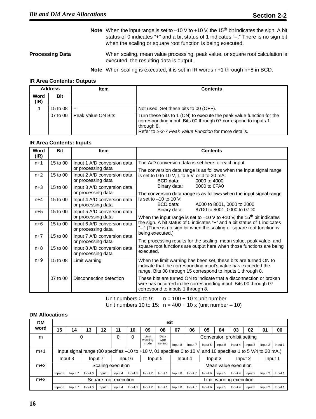- Note When the input range is set to -10 V to +10 V, the 15<sup>th</sup> bit indicates the sign. A bit status of 0 indicates "+" and a bit status of 1 indicates "–." There is no sign bit when the scaling or square root function is being executed.
- **Processing Data** When scaling, mean value processing, peak value, or square root calculation is executed, the resulting data is output.

**Note** When scaling is executed, it is set in IR words n+1 through n+8 in BCD.

### **IR Area Contents: Outputs**

|              | <b>Address</b> | <b>Item</b>        | <b>Contents</b>                                                                                                                                                                                              |  |  |  |  |
|--------------|----------------|--------------------|--------------------------------------------------------------------------------------------------------------------------------------------------------------------------------------------------------------|--|--|--|--|
| Word<br>(IR) | Bit            |                    |                                                                                                                                                                                                              |  |  |  |  |
| n            | 15 to 08       | $---$              | Not used. Set these bits to 00 (OFF).                                                                                                                                                                        |  |  |  |  |
|              | 07 to 00       | Peak Value ON Bits | Turn these bits to 1 (ON) to execute the peak value function for the<br>corresponding input. Bits 00 through 07 correspond to inputs 1<br>through 8.<br>Refer to 2-3-7 Peak Value Function for more details. |  |  |  |  |

### **IR Area Contents: Inputs**

| Word<br>(IR) | <b>Bit</b> | <b>Item</b>                                       | <b>Contents</b>                                                                                                                                                                                   |  |  |  |  |  |
|--------------|------------|---------------------------------------------------|---------------------------------------------------------------------------------------------------------------------------------------------------------------------------------------------------|--|--|--|--|--|
| $n+1$        | 15 to 00   | Input 1 A/D conversion data<br>or processing data | The A/D conversion data is set here for each input.<br>The conversion data range is as follows when the input signal range                                                                        |  |  |  |  |  |
| $n+2$        | 15 to 00   | Input 2 A/D conversion data<br>or processing data | is set to 0 to 10 V, 1 to 5 V, or 4 to 20 mA:<br>BCD data:<br>0000 to 4000                                                                                                                        |  |  |  |  |  |
| $n+3$        | 15 to 00   | Input 3 A/D conversion data<br>or processing data | 0000 to 0FA0<br>Binary data:<br>The conversion data range is as follows when the input signal range                                                                                               |  |  |  |  |  |
| $n+4$        | 15 to 00   | Input 4 A/D conversion data<br>or processing data | is set to $-10$ to 10 V:<br>BCD data:<br>A000 to 8001, 0000 to 2000                                                                                                                               |  |  |  |  |  |
| $n+5$        | 15 to 00   | Input 5 A/D conversion data<br>or processing data | 87D0 to 8001, 0000 to 07D0<br>Binary data:<br>When the input range is set to $-10$ V to $+10$ V, the 15 <sup>th</sup> bit indicates                                                               |  |  |  |  |  |
| $n+6$        | 15 to 00   | Input 6 A/D conversion data<br>or processing data | the sign. A bit status of 0 indicates "+" and a bit status of 1 indicates<br>"-." (There is no sign bit when the scaling or square root function is                                               |  |  |  |  |  |
| $n+7$        | 15 to 00   | Input 7 A/D conversion data<br>or processing data | being executed.)<br>The processing results for the scaling, mean value, peak value, and                                                                                                           |  |  |  |  |  |
| $n+8$        | 15 to 00   | Input 8 A/D conversion data<br>or processing data | square root functions are output here when those functions are being<br>executed.                                                                                                                 |  |  |  |  |  |
| $n+9$        | 15 to 08   | Limit warning                                     | When the limit warning has been set, these bits are turned ON to<br>indicate that the corresponding input's value has exceeded the<br>range. Bits 08 through 15 correspond to inputs 1 through 8. |  |  |  |  |  |
|              | 07 to 00   | Disconnection detection                           | These bits are turned ON to indicate that a disconnection or broken<br>wire has occurred in the corresponding input. Bits 00 through 07<br>correspond to inputs 1 through 8.                      |  |  |  |  |  |

Unit numbers 0 to 9:  $n = 100 + 10x$  unit number Unit numbers 10 to 15:  $n = 400 + 10 \times (unit number - 10)$ 

### **DM Allocations**

| <b>DM</b> |                       | <b>Bit</b>                                                                                                    |         |                   |                    |         |                         |              |                      |         |         |         |                             |         |         |         |
|-----------|-----------------------|---------------------------------------------------------------------------------------------------------------|---------|-------------------|--------------------|---------|-------------------------|--------------|----------------------|---------|---------|---------|-----------------------------|---------|---------|---------|
| word      | 15                    | 14                                                                                                            | 13      | 12                | 11                 | 10      | 09                      | 08           | 07                   | 06      | 05      | 04      | 03                          | 02      | 01      | 00      |
| m         | 0                     |                                                                                                               |         |                   | 0                  | 0       | Limit<br>warning        | Data<br>type |                      |         |         |         | Conversion prohibit setting |         |         |         |
|           | mode                  |                                                                                                               |         | setting           | Input 8            | Input 7 | Input 6                 | Input 5      | Input 4              | Input 3 | Input 2 | Input 1 |                             |         |         |         |
| $m+1$     |                       | Input signal range (00 specifies -10 to +10 V, 01 specifies 0 to 10 V, and 10 specifies 1 to 5 V/4 to 20 mA.) |         |                   |                    |         |                         |              |                      |         |         |         |                             |         |         |         |
|           | Input 8<br>Input 7    |                                                                                                               |         |                   | Input 6<br>Input 5 |         |                         |              | Input 4<br>Input 3   |         |         |         | Input 2                     |         | Input 1 |         |
| $m+2$     |                       |                                                                                                               |         | Scaling execution |                    |         |                         |              | Mean value execution |         |         |         |                             |         |         |         |
|           | Input 8               | Input 7                                                                                                       | Input 6 | Input 5           | Input 4            | Input 3 | Input 2                 | Input 1      | Input 8              | Input 7 | Input 6 | Input 5 | Input 4                     | Input 3 | Input 2 | Input 1 |
| $m+3$     | Square root execution |                                                                                                               |         |                   |                    |         | Limit warning execution |              |                      |         |         |         |                             |         |         |         |
|           | Input 8               | Input 7                                                                                                       | Input 6 | Input 5           | Input 4            | Input 3 | Input 2                 | Input 1      | Input 8              | Input 7 | Input 6 | Input 5 | Input 4                     | Input 3 | Input 2 | Input 1 |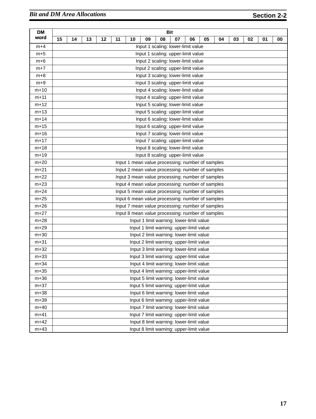| <b>DM</b> |    |                                                  |    |    |    |    |    |    | <b>Bit</b>                                       |    |    |    |    |    |    |    |
|-----------|----|--------------------------------------------------|----|----|----|----|----|----|--------------------------------------------------|----|----|----|----|----|----|----|
| word      | 15 | 14                                               | 13 | 12 | 11 | 10 | 09 | 08 | 07                                               | 06 | 05 | 04 | 03 | 02 | 01 | 00 |
| $m+4$     |    |                                                  |    |    |    |    |    |    | Input 1 scaling: lower-limit value               |    |    |    |    |    |    |    |
| $m+5$     |    |                                                  |    |    |    |    |    |    | Input 1 scaling: upper-limit value               |    |    |    |    |    |    |    |
| $m+6$     |    |                                                  |    |    |    |    |    |    | Input 2 scaling: lower-limit value               |    |    |    |    |    |    |    |
| $m+7$     |    |                                                  |    |    |    |    |    |    | Input 2 scaling: upper-limit value               |    |    |    |    |    |    |    |
| $m+8$     |    |                                                  |    |    |    |    |    |    | Input 3 scaling: lower-limit value               |    |    |    |    |    |    |    |
| $m+9$     |    | Input 3 scaling: upper-limit value               |    |    |    |    |    |    |                                                  |    |    |    |    |    |    |    |
| $m+10$    |    | Input 4 scaling: lower-limit value               |    |    |    |    |    |    |                                                  |    |    |    |    |    |    |    |
| $m+11$    |    |                                                  |    |    |    |    |    |    | Input 4 scaling: upper-limit value               |    |    |    |    |    |    |    |
| $m+12$    |    |                                                  |    |    |    |    |    |    | Input 5 scaling: lower-limit value               |    |    |    |    |    |    |    |
| $m+13$    |    |                                                  |    |    |    |    |    |    | Input 5 scaling: upper-limit value               |    |    |    |    |    |    |    |
| $m+14$    |    |                                                  |    |    |    |    |    |    | Input 6 scaling: lower-limit value               |    |    |    |    |    |    |    |
| $m+15$    |    |                                                  |    |    |    |    |    |    | Input 6 scaling: upper-limit value               |    |    |    |    |    |    |    |
| $m+16$    |    | Input 7 scaling: lower-limit value               |    |    |    |    |    |    |                                                  |    |    |    |    |    |    |    |
| $m+17$    |    |                                                  |    |    |    |    |    |    | Input 7 scaling: upper-limit value               |    |    |    |    |    |    |    |
| $m+18$    |    |                                                  |    |    |    |    |    |    | Input 8 scaling: lower-limit value               |    |    |    |    |    |    |    |
| $m+19$    |    | Input 8 scaling: upper-limit value               |    |    |    |    |    |    |                                                  |    |    |    |    |    |    |    |
| $m+20$    |    | Input 1 mean value processing: number of samples |    |    |    |    |    |    |                                                  |    |    |    |    |    |    |    |
| $m+21$    |    | Input 2 mean value processing: number of samples |    |    |    |    |    |    |                                                  |    |    |    |    |    |    |    |
| $m+22$    |    | Input 3 mean value processing: number of samples |    |    |    |    |    |    |                                                  |    |    |    |    |    |    |    |
| $m+23$    |    | Input 4 mean value processing: number of samples |    |    |    |    |    |    |                                                  |    |    |    |    |    |    |    |
| $m+24$    |    | Input 5 mean value processing: number of samples |    |    |    |    |    |    |                                                  |    |    |    |    |    |    |    |
| $m+25$    |    | Input 6 mean value processing: number of samples |    |    |    |    |    |    |                                                  |    |    |    |    |    |    |    |
| $m+26$    |    |                                                  |    |    |    |    |    |    | Input 7 mean value processing: number of samples |    |    |    |    |    |    |    |
| $m+27$    |    |                                                  |    |    |    |    |    |    | Input 8 mean value processing: number of samples |    |    |    |    |    |    |    |
| $m+28$    |    |                                                  |    |    |    |    |    |    | Input 1 limit warning: lower-limit value         |    |    |    |    |    |    |    |
| $m+29$    |    |                                                  |    |    |    |    |    |    | Input 1 limit warning: upper-limit value         |    |    |    |    |    |    |    |
| $m+30$    |    |                                                  |    |    |    |    |    |    | Input 2 limit warning: lower-limit value         |    |    |    |    |    |    |    |
| $m + 31$  |    |                                                  |    |    |    |    |    |    | Input 2 limit warning: upper-limit value         |    |    |    |    |    |    |    |
| $m+32$    |    |                                                  |    |    |    |    |    |    | Input 3 limit warning: lower-limit value         |    |    |    |    |    |    |    |
| $m+33$    |    |                                                  |    |    |    |    |    |    | Input 3 limit warning: upper-limit value         |    |    |    |    |    |    |    |
| $m+34$    |    |                                                  |    |    |    |    |    |    | Input 4 limit warning: lower-limit value         |    |    |    |    |    |    |    |
| $m+35$    |    |                                                  |    |    |    |    |    |    | Input 4 limit warning: upper-limit value         |    |    |    |    |    |    |    |
| $m+36$    |    |                                                  |    |    |    |    |    |    | Input 5 limit warning: lower-limit value         |    |    |    |    |    |    |    |
| $m+37$    |    |                                                  |    |    |    |    |    |    | Input 5 limit warning: upper-limit value         |    |    |    |    |    |    |    |
| $m + 38$  |    |                                                  |    |    |    |    |    |    | Input 6 limit warning: lower-limit value         |    |    |    |    |    |    |    |
| $m+39$    |    |                                                  |    |    |    |    |    |    | Input 6 limit warning: upper-limit value         |    |    |    |    |    |    |    |
| $m+40$    |    |                                                  |    |    |    |    |    |    | Input 7 limit warning: lower-limit value         |    |    |    |    |    |    |    |
| $m+41$    |    |                                                  |    |    |    |    |    |    | Input 7 limit warning: upper-limit value         |    |    |    |    |    |    |    |
| $m+42$    |    |                                                  |    |    |    |    |    |    | Input 8 limit warning: lower-limit value         |    |    |    |    |    |    |    |
| $m+43$    |    |                                                  |    |    |    |    |    |    | Input 8 limit warning: upper-limit value         |    |    |    |    |    |    |    |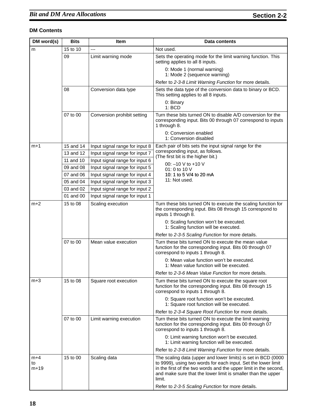| DM word(s)            | <b>Bits</b> | <b>Item</b>                    | <b>Data contents</b>                                                                                                                                                                                                                                                         |  |  |  |  |  |
|-----------------------|-------------|--------------------------------|------------------------------------------------------------------------------------------------------------------------------------------------------------------------------------------------------------------------------------------------------------------------------|--|--|--|--|--|
| m                     | 15 to 10    | ---                            | Not used.                                                                                                                                                                                                                                                                    |  |  |  |  |  |
|                       | 09          | Limit warning mode             | Sets the operating mode for the limit warning function. This<br>setting applies to all 8 inputs.                                                                                                                                                                             |  |  |  |  |  |
|                       |             |                                | 0: Mode 1 (normal warning)<br>1: Mode 2 (sequence warning)                                                                                                                                                                                                                   |  |  |  |  |  |
|                       |             |                                | Refer to 2-3-8 Limit Warning Function for more details.                                                                                                                                                                                                                      |  |  |  |  |  |
|                       | 08          | Conversion data type           | Sets the data type of the conversion data to binary or BCD.<br>This setting applies to all 8 inputs.                                                                                                                                                                         |  |  |  |  |  |
|                       |             |                                | 0: Binary<br>1:BCD                                                                                                                                                                                                                                                           |  |  |  |  |  |
|                       | 07 to 00    | Conversion prohibit setting    | Turn these bits turned ON to disable A/D conversion for the<br>corresponding input. Bits 00 through 07 correspond to inputs<br>1 through 8.                                                                                                                                  |  |  |  |  |  |
|                       |             |                                | 0: Conversion enabled<br>1: Conversion disabled                                                                                                                                                                                                                              |  |  |  |  |  |
| $m+1$                 | 15 and 14   | Input signal range for input 8 | Each pair of bits sets the input signal range for the                                                                                                                                                                                                                        |  |  |  |  |  |
|                       | 13 and 12   | Input signal range for input 7 | corresponding input, as follows.<br>(The first bit is the higher bit.)                                                                                                                                                                                                       |  |  |  |  |  |
|                       | 11 and 10   | Input signal range for input 6 | 00: $-10$ V to $+10$ V                                                                                                                                                                                                                                                       |  |  |  |  |  |
|                       | 09 and 08   | Input signal range for input 5 | 01: 0 to 10 $V$                                                                                                                                                                                                                                                              |  |  |  |  |  |
|                       | 07 and 06   | Input signal range for input 4 | 10: 1 to 5 V/4 to 20 mA                                                                                                                                                                                                                                                      |  |  |  |  |  |
|                       | 05 and 04   | Input signal range for input 3 | 11: Not used.                                                                                                                                                                                                                                                                |  |  |  |  |  |
|                       | 03 and 02   | Input signal range for input 2 |                                                                                                                                                                                                                                                                              |  |  |  |  |  |
|                       | 01 and 00   | Input signal range for input 1 |                                                                                                                                                                                                                                                                              |  |  |  |  |  |
| $m+2$                 | 15 to 08    | Scaling execution              | Turn these bits turned ON to execute the scaling function for<br>the corresponding input. Bits 08 through 15 correspond to<br>inputs 1 through 8.                                                                                                                            |  |  |  |  |  |
|                       |             |                                | 0: Scaling function won't be executed.<br>1: Scaling function will be executed.                                                                                                                                                                                              |  |  |  |  |  |
|                       |             |                                | Refer to 2-3-5 Scaling Function for more details.                                                                                                                                                                                                                            |  |  |  |  |  |
|                       | 07 to 00    | Mean value execution           | Turn these bits turned ON to execute the mean value<br>function for the corresponding input. Bits 00 through 07<br>correspond to inputs 1 through 8.                                                                                                                         |  |  |  |  |  |
|                       |             |                                | 0: Mean value function won't be executed.<br>1: Mean value function will be executed.                                                                                                                                                                                        |  |  |  |  |  |
|                       |             |                                | Refer to 2-3-6 Mean Value Function for more details.                                                                                                                                                                                                                         |  |  |  |  |  |
| $m+3$                 | 15 to 08    | Square root execution          | Turn these bits turned ON to execute the square root<br>function for the corresponding input. Bits 08 through 15<br>correspond to inputs 1 through 8.                                                                                                                        |  |  |  |  |  |
|                       |             |                                | 0: Square root function won't be executed.<br>1: Square root function will be executed.                                                                                                                                                                                      |  |  |  |  |  |
|                       |             |                                | Refer to 2-3-4 Square Root Function for more details.                                                                                                                                                                                                                        |  |  |  |  |  |
|                       | 07 to 00    | Limit warning execution        | Turn these bits turned ON to execute the limit warning<br>function for the corresponding input. Bits 00 through 07<br>correspond to inputs 1 through 8.                                                                                                                      |  |  |  |  |  |
|                       |             |                                | 0: Limit warning function won't be executed.<br>1: Limit warning function will be executed.                                                                                                                                                                                  |  |  |  |  |  |
|                       |             |                                | Refer to 2-3-8 Limit Warning Function for more details.                                                                                                                                                                                                                      |  |  |  |  |  |
| $m+4$<br>to<br>$m+19$ | 15 to 00    | Scaling data                   | The scaling data (upper and lower limits) is set in BCD (0000<br>to 9999), using two words for each input. Set the lower limit<br>in the first of the two words and the upper limit in the second,<br>and make sure that the lower limit is smaller than the upper<br>limit. |  |  |  |  |  |
|                       |             |                                | Refer to 2-3-5 Scaling Function for more details.                                                                                                                                                                                                                            |  |  |  |  |  |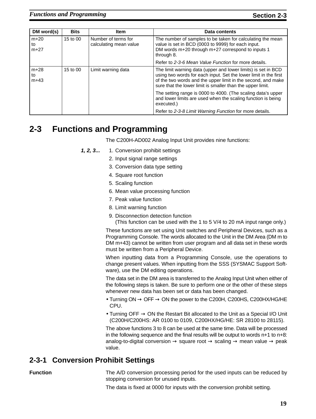| DM word(s)             | <b>Bits</b>                                               | Item               | Data contents                                                                                                                                                                                                                                                   |
|------------------------|-----------------------------------------------------------|--------------------|-----------------------------------------------------------------------------------------------------------------------------------------------------------------------------------------------------------------------------------------------------------------|
| $m+20$<br>to<br>$m+27$ | 15 to 00<br>Number of terms for<br>calculating mean value |                    | The number of samples to be taken for calculating the mean<br>value is set in BCD (0003 to 9999) for each input.<br>DM words m+20 through m+27 correspond to inputs 1<br>through 8.                                                                             |
|                        |                                                           |                    | Refer to 2-3-6 Mean Value Function for more details.                                                                                                                                                                                                            |
| $m+28$<br>to<br>$m+43$ | 15 to 00                                                  | Limit warning data | The limit warning data (upper and lower limits) is set in BCD<br>using two words for each input. Set the lower limit in the first<br>of the two words and the upper limit in the second, and make<br>sure that the lower limit is smaller than the upper limit. |
|                        |                                                           |                    | The setting range is 0000 to 4000. (The scaling data's upper<br>and lower limits are used when the scaling function is being<br>executed.)                                                                                                                      |
|                        |                                                           |                    | Refer to 2-3-8 Limit Warning Function for more details.                                                                                                                                                                                                         |

## **2-3 Functions and Programming**

The C200H-AD002 Analog Input Unit provides nine functions:

- **1, 2, 3...** 1. Conversion prohibit settings
	- 2. Input signal range settings
	- 3. Conversion data type setting
	- 4. Square root function
	- 5. Scaling function
	- 6. Mean value processing function
	- 7. Peak value function
	- 8. Limit warning function
	- 9. Disconnection detection function

(This function can be used with the 1 to 5 V/4 to 20 mA input range only.)

These functions are set using Unit switches and Peripheral Devices, such as a Programming Console. The words allocated to the Unit in the DM Area (DM m to DM m+43) cannot be written from user program and all data set in these words must be written from a Peripheral Device.

When inputting data from a Programming Console, use the operations to change present values. When inputting from the SSS (SYSMAC Support Software), use the DM editing operations.

The data set in the DM area is transferred to the Analog Input Unit when either of the following steps is taken. Be sure to perform one or the other of these steps whenever new data has been set or data has been changed.

- Turning  $ON \rightarrow OFF \rightarrow ON$  the power to the C200H, C200HS, C200HX/HG/HE CPU.
- Turning OFF  $\rightarrow$  ON the Restart Bit allocated to the Unit as a Special I/O Unit (C200H/C200HS: AR 0100 to 0109, C200HX/HG/HE: SR 28100 to 28115).

The above functions 3 to 8 can be used at the same time. Data will be processed in the following sequence and the final results will be output to words n+1 to n+8: analog-to-digital conversion  $\rightarrow$  square root  $\rightarrow$  scaling  $\rightarrow$  mean value  $\rightarrow$  peak value.

## **2-3-1 Conversion Prohibit Settings**

**Function** The A/D conversion processing period for the used inputs can be reduced by stopping conversion for unused inputs.

The data is fixed at 0000 for inputs with the conversion prohibit setting.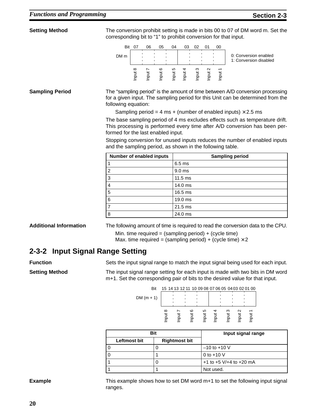| <b>Setting Method</b>  |                                                           | The conversion prohibit setting is made in bits 00 to 07 of DM word m. Set the<br>corresponding bit to "1" to prohibit conversion for that input.                                                                                                                                                                                                                                                                                                                                                                                                |
|------------------------|-----------------------------------------------------------|--------------------------------------------------------------------------------------------------------------------------------------------------------------------------------------------------------------------------------------------------------------------------------------------------------------------------------------------------------------------------------------------------------------------------------------------------------------------------------------------------------------------------------------------------|
|                        | <b>Bit 07</b><br>06<br>05<br>DM m                         | 04<br>03<br>02<br>01<br>00<br>0: Conversion enabled<br>1: Conversion disabled                                                                                                                                                                                                                                                                                                                                                                                                                                                                    |
|                        | Input 6<br>Input 8<br>Input 7                             | Input 5<br>Input 3<br>Input 4<br>Input 2<br>Input 1                                                                                                                                                                                                                                                                                                                                                                                                                                                                                              |
| <b>Sampling Period</b> | following equation:<br>formed for the last enabled input. | The "sampling period" is the amount of time between A/D conversion processing<br>for a given input. The sampling period for this Unit can be determined from the<br>Sampling period = 4 ms + (number of enabled inputs) $\times$ 2.5 ms<br>The base sampling period of 4 ms excludes effects such as temperature drift.<br>This processing is performed every time after A/D conversion has been per-<br>Stopping conversion for unused inputs reduces the number of enabled inputs<br>and the sampling period, as shown in the following table. |
|                        | Number of enabled inputs                                  | <b>Sampling period</b>                                                                                                                                                                                                                                                                                                                                                                                                                                                                                                                           |
|                        | 1                                                         | 6.5 ms                                                                                                                                                                                                                                                                                                                                                                                                                                                                                                                                           |
|                        | $\overline{c}$                                            | 9.0 <sub>ms</sub>                                                                                                                                                                                                                                                                                                                                                                                                                                                                                                                                |
|                        | 3                                                         | $11.5$ ms                                                                                                                                                                                                                                                                                                                                                                                                                                                                                                                                        |
|                        | 4                                                         | 14.0 ms                                                                                                                                                                                                                                                                                                                                                                                                                                                                                                                                          |
|                        | 5                                                         | 16.5 ms                                                                                                                                                                                                                                                                                                                                                                                                                                                                                                                                          |
|                        | 6                                                         | 19.0 ms                                                                                                                                                                                                                                                                                                                                                                                                                                                                                                                                          |
|                        | 7                                                         | $21.5$ ms                                                                                                                                                                                                                                                                                                                                                                                                                                                                                                                                        |
|                        | 8                                                         | 24.0 ms                                                                                                                                                                                                                                                                                                                                                                                                                                                                                                                                          |

**Additional Information** The following amount of time is required to read the conversion data to the CPU.

Min. time required =  $(sampling period) + (cycle time)$ 

Max. time required = (sampling period) + (cycle time)  $\times$  2

### **2-3-2 Input Signal Range Setting**

**Function** Sets the input signal range to match the input signal being used for each input.

**Setting Method** The input signal range setting for each input is made with two bits in DM word m+1. Set the corresponding pair of bits to the desired value for that input.

| Bit          | 15 14 13 12 11 10 09 08 07 06 05 04 03 02 01 00 |   |   |        |  |
|--------------|-------------------------------------------------|---|---|--------|--|
| DM $(m + 1)$ |                                                 |   |   |        |  |
|              |                                                 |   |   |        |  |
| $\infty$     | $\circ$                                         | ω | ო | $\sim$ |  |
|              |                                                 |   |   |        |  |

|                     | Bit |                      | Input signal range               |  |  |  |
|---------------------|-----|----------------------|----------------------------------|--|--|--|
| <b>Leftmost bit</b> |     | <b>Rightmost bit</b> |                                  |  |  |  |
|                     |     |                      | $-10$ to $+10$ V                 |  |  |  |
|                     |     |                      | 0 to $+10$ V                     |  |  |  |
|                     |     |                      | $+1$ to $+5$ V/ $+4$ to $+20$ mA |  |  |  |
|                     |     |                      | Not used.                        |  |  |  |

**Example** This example shows how to set DM word m+1 to set the following input signal ranges.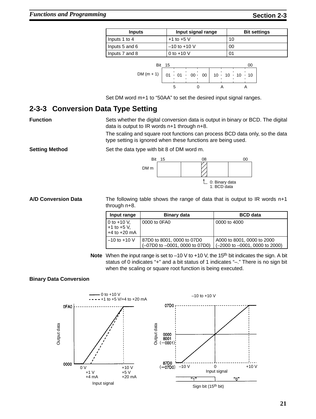| <b>Inputs</b>  | Input signal range | <b>Bit settings</b> |
|----------------|--------------------|---------------------|
| Inputs 1 to 4  | $+1$ to $+5$ V     | 10                  |
| Inputs 5 and 6 | $-10$ to $+10$ V   | 00                  |
| Inputs 7 and 8 | 0 to $+10$ V       |                     |



Set DM word m+1 to "50AA" to set the desired input signal ranges.

### **2-3-3 Conversion Data Type Setting**

**Function** Sets whether the digital conversion data is output in binary or BCD. The digital data is output to IR words n+1 through n+8.

> The scaling and square root functions can process BCD data only, so the data type setting is ignored when these functions are being used.

**Setting Method** Set the data type with bit 8 of DM word m.



**A/D Conversion Data** The following table shows the range of data that is output to IR words n+1 through n+8.

| Input range                                          | <b>Binary data</b>                                           | <b>BCD</b> data                                                                  |
|------------------------------------------------------|--------------------------------------------------------------|----------------------------------------------------------------------------------|
| 0 to $+10$ V,<br>$+1$ to $+5$ V,<br>$+4$ to $+20$ mA | 0000 to 0FA0                                                 | 0000 to 4000                                                                     |
| $-10$ to $+10$ V                                     | 87D0 to 8001, 0000 to 07D0<br>(-07D0 to -0001, 0000 to 07D0) | A000 to 8001, 0000 to 2000<br>$(-2000 \text{ to } -0001, 0000 \text{ to } 2000)$ |

Note When the input range is set to -10 V to +10 V, the 15<sup>th</sup> bit indicates the sign. A bit status of 0 indicates "+" and a bit status of 1 indicates "–." There is no sign bit when the scaling or square root function is being executed.

### **Binary Data Conversion**

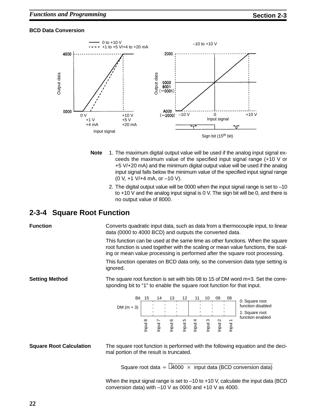### **BCD Data Conversion**



- **Note** 1. The maximum digital output value will be used if the analog input signal exceeds the maximum value of the specified input signal range (+10 V or +5 V/+20 mA) and the minimum digital output value will be used if the analog input signal falls below the minimum value of the specified input signal range (0 V, +1 V/+4 mA, or –10 V).
	- 2. The digital output value will be 0000 when the input signal range is set to –10 to +10 V and the analog input signal is 0 V. The sign bit will be 0, and there is no output value of 8000.

### **2-3-4 Square Root Function**

**Function** Converts quadratic input data, such as data from a thermocouple input, to linear data (0000 to 4000 BCD) and outputs the converted data.

> This function can be used at the same time as other functions. When the square root function is used together with the scaling or mean value functions, the scaling or mean value processing is performed after the square root processing.

> This function operates on BCD data only, so the conversion data type setting is ignored.

**Setting Method** The square root function is set with bits 08 to 15 of DM word m+3. Set the corresponding bit to "1" to enable the square root function for that input.

| Bit<br>DM $(m + 3)$ | 15       | 14 | 13      | 12 | 10 | 09                 | 08 | 0: Square root<br>function disabled<br>1: Square root |
|---------------------|----------|----|---------|----|----|--------------------|----|-------------------------------------------------------|
|                     | $\infty$ |    | $\circ$ | LO | ო  | $\scriptstyle\sim$ |    | function enabled                                      |

**Square Root Calculation** The square root function is performed with the following equation and the decimal portion of the result is truncated.

Square root data =  $\sqrt{4000 \times 100}$  input data (BCD conversion data)

When the input signal range is set to -10 to +10 V, calculate the input data (BCD conversion data) with –10 V as 0000 and +10 V as 4000.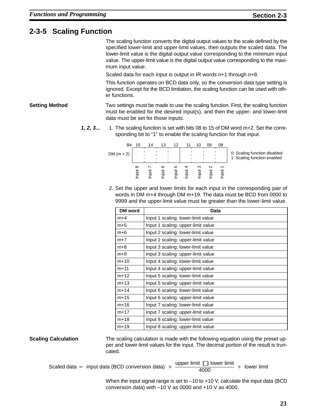## **2-3-5 Scaling Function**

The scaling function converts the digital output values to the scale defined by the specified lower-limit and upper-limit values, then outputs the scaled data. The lower-limit value is the digital output value corresponding to the minimum input value. The upper-limit value is the digital output value corresponding to the maximum input value.

Scaled data for each input is output in IR words n+1 through n+8.

This function operates on BCD data only, so the conversion data type setting is ignored. Except for the BCD limitation, the scaling function can be used with other functions.

**Setting Method** Two settings must be made to use the scaling function. First, the scaling function must be enabled for the desired input(s), and then the upper- and lower-limit data must be set for those inputs.

> **1, 2, 3...** 1. The scaling function is set with bits 08 to 15 of DM word m+2. Set the corresponding bit to "1" to enable the scaling function for that input.



2. Set the upper and lower limits for each input in the corresponding pair of words in DM m+4 through DM m+19. The data must be BCD from 0000 to 9999 and the upper-limit value must be greater than the lower-limit value.

| <b>DM</b> word | Data                               |
|----------------|------------------------------------|
| $m+4$          | Input 1 scaling: lower-limit value |
| $m+5$          | Input 1 scaling: upper-limit value |
| $m+6$          | Input 2 scaling: lower-limit value |
| $m+7$          | Input 2 scaling: upper-limit value |
| $m+8$          | Input 3 scaling: lower-limit value |
| $m+9$          | Input 3 scaling: upper-limit value |
| $m+10$         | Input 4 scaling: lower-limit value |
| $m+11$         | Input 4 scaling: upper-limit value |
| $m+12$         | Input 5 scaling: lower-limit value |
| $m+13$         | Input 5 scaling: upper-limit value |
| $m+14$         | Input 6 scaling: lower-limit value |
| $m+15$         | Input 6 scaling: upper-limit value |
| $m+16$         | Input 7 scaling: lower-limit value |
| $m+17$         | Input 7 scaling: upper-limit value |
| $m+18$         | Input 8 scaling: lower-limit value |
| $m+19$         | Input 8 scaling: upper-limit value |

**Scaling Calculation** The scaling calculation is made with the following equation using the preset upper and lower-limit values for the input. The decimal portion of the result is truncated.

Scaled data = input data (BCD conversion data)  $\times \frac{upper limit}{4000}$ upper limit  $\Box$  lower limit<br>4000 + lower limit

> When the input signal range is set to -10 to +10 V, calculate the input data (BCD conversion data) with –10 V as 0000 and +10 V as 4000.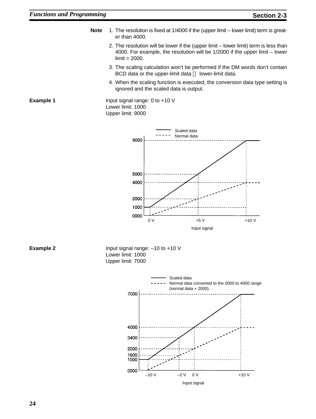- **Note** 1. The resolution is fixed at 1/4000 if the (upper limit lower limit) term is greater than 4000.
	- 2. The resolution will be lower if the (upper limit lower limit) term is less than 4000. For example, the resolution will be 1/2000 if the upper limit – lower  $limit = 2000.$
	- 3. The scaling calculation won't be performed if the DM words don't contain BCD data or the upper-limit data  $\sqcap$  lower-limit data.
	- 4. When the scaling function is executed, the conversion data type setting is ignored and the scaled data is output.

**Example 1** Input signal range: 0 to +10 V Lower limit: 1000 Upper limit: 9000



**Example 2** Input signal range: –10 to +10 V Lower limit: 1000 Upper limit: 7000

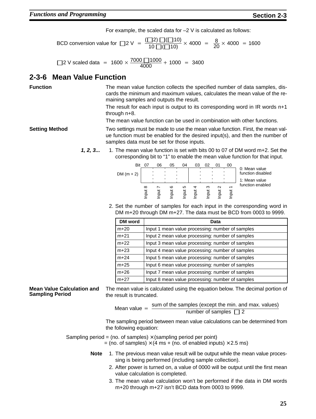For example, the scaled data for –2 V is calculated as follows:

BCD conversion value for  $\Box 2 \vee = \frac{(\Box 2) \Box (\Box 10)}{10 \Box (\Box 10)} \times 4000 = \frac{8}{20} \times 4000 = 1600$ 

□ 2 V scaled data = 1600  $\times \frac{7000 \text{ } 1000}{4000} + 1000 = 3400$ 

### **2-3-6 Mean Value Function**

**Function** The mean value function collects the specified number of data samples, discards the minimum and maximum values, calculates the mean value of the remaining samples and outputs the result.

> The result for each input is output to its corresponding word in IR words n+1 through n+8.

The mean value function can be used in combination with other functions.

**Setting Method** Two settings must be made to use the mean value function. First, the mean value function must be enabled for the desired input(s), and then the number of samples data must be set for those inputs.

> **1, 2, 3...** 1. The mean value function is set with bits 00 to 07 of DM word m+2. Set the corresponding bit to "1" to enable the mean value function for that input.

|              | Bit | 07       | 06 | 05       | 04  | 03 | 02 | 01     | 00 |                                    |
|--------------|-----|----------|----|----------|-----|----|----|--------|----|------------------------------------|
| DM $(m + 2)$ |     |          |    |          |     |    |    |        |    | 0: Mean value<br>function disabled |
|              |     |          |    |          |     |    |    |        |    | 1: Mean value                      |
|              |     | $\infty$ | ∼  | ဖ        | 5   | ↽  | ო  | $\sim$ |    | function enabled                   |
|              |     |          |    | put<br>P | put | 5  |    |        |    |                                    |
|              |     |          |    |          |     |    |    |        |    |                                    |

2. Set the number of samples for each input in the corresponding word in DM m+20 through DM m+27. The data must be BCD from 0003 to 9999.

| DM word | Data                                             |
|---------|--------------------------------------------------|
| $m+20$  | Input 1 mean value processing: number of samples |
| $m+21$  | Input 2 mean value processing: number of samples |
| $m+22$  | Input 3 mean value processing: number of samples |
| $m+23$  | Input 4 mean value processing: number of samples |
| $m+24$  | Input 5 mean value processing: number of samples |
| $m+25$  | Input 6 mean value processing: number of samples |
| $m+26$  | Input 7 mean value processing: number of samples |
| $m+27$  | Input 8 mean value processing: number of samples |

**Mean Value Calculation and Sampling Period**

The mean value is calculated using the equation below. The decimal portion of the result is truncated.

Mean value  $=$  sum of the samples (except the min. and max. values) number of samples  $\Box$  2

The sampling period between mean value calculations can be determined from the following equation:

Sampling period = (no. of samples)  $\times$  (sampling period per point)

 $=$  (no. of samples)  $\times$  (4 ms + (no. of enabled inputs)  $\times$  2.5 ms)

- **Note** 1. The previous mean value result will be output while the mean value processing is being performed (including sample collection).
	- 2. After power is turned on, a value of 0000 will be output until the first mean value calculation is completed.
	- 3. The mean value calculation won't be performed if the data in DM words m+20 through m+27 isn't BCD data from 0003 to 9999.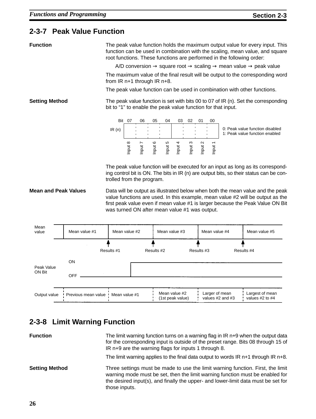## **2-3-7 Peak Value Function**

**Function** The peak value function holds the maximum output value for every input. This function can be used in combination with the scaling, mean value, and square root functions. These functions are performed in the following order:

A/D conversion  $\rightarrow$  square root  $\rightarrow$  scaling  $\rightarrow$  mean value  $\rightarrow$  peak value

The maximum value of the final result will be output to the corresponding word from IR n+1 through IR n+8.

The peak value function can be used in combination with other functions.

**Setting Method** The peak value function is set with bits 00 to 07 of IR (n). Set the corresponding bit to "1" to enable the peak value function for that input.



The peak value function will be executed for an input as long as its corresponding control bit is ON. The bits in IR (n) are output bits, so their status can be controlled from the program.

**Mean and Peak Values** Data will be output as illustrated below when both the mean value and the peak value functions are used. In this example, mean value #2 will be output as the first peak value even if mean value #1 is larger because the Peak Value ON Bit was turned ON after mean value #1 was output.



## **2-3-8 Limit Warning Function**

| <b>Function</b>       | The limit warning function turns on a warning flag in IR n+9 when the output data<br>for the corresponding input is outside of the preset range. Bits 08 through 15 of<br>IR n+9 are the warning flags for inputs 1 through 8.                                         |
|-----------------------|------------------------------------------------------------------------------------------------------------------------------------------------------------------------------------------------------------------------------------------------------------------------|
|                       | The limit warning applies to the final data output to words $IR n+1$ through $IR n+8$ .                                                                                                                                                                                |
| <b>Setting Method</b> | Three settings must be made to use the limit warning function. First, the limit<br>warning mode must be set, then the limit warning function must be enabled for<br>the desired input(s), and finally the upper- and lower-limit data must be set for<br>those inputs. |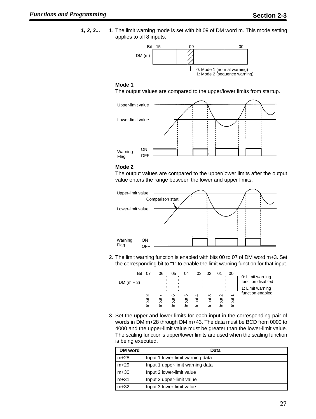**1, 2, 3...** 1. The limit warning mode is set with bit 09 of DM word m. This mode setting applies to all 8 inputs.



### **Mode 1**

The output values are compared to the upper/lower limits from startup.



### **Mode 2**

The output values are compared to the upper/lower limits after the output value enters the range between the lower and upper limits.



2. The limit warning function is enabled with bits 00 to 07 of DM word m+3. Set the corresponding bit to "1" to enable the limit warning function for that input.



3. Set the upper and lower limits for each input in the corresponding pair of words in DM m+28 through DM m+43. The data must be BCD from 0000 to 4000 and the upper-limit value must be greater than the lower-limit value. The scaling function's upper/lower limits are used when the scaling function is being executed.

| <b>DM</b> word | Data                             |
|----------------|----------------------------------|
| $m+28$         | Input 1 lower-limit warning data |
| $m+29$         | Input 1 upper-limit warning data |
| $m+30$         | Input 2 lower-limit value        |
| $m + 31$       | Input 2 upper-limit value        |
| $m+32$         | Input 3 lower-limit value        |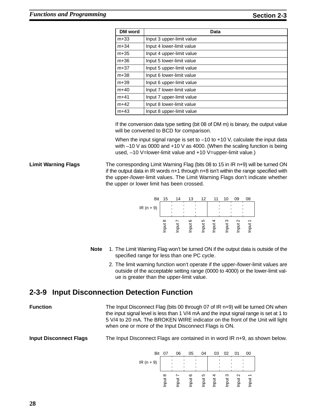| <b>DM</b> word | Data                      |
|----------------|---------------------------|
| $m+33$         | Input 3 upper-limit value |
| $m+34$         | Input 4 lower-limit value |
| $m+35$         | Input 4 upper-limit value |
| $m+36$         | Input 5 lower-limit value |
| $m+37$         | Input 5 upper-limit value |
| $m+38$         | Input 6 lower-limit value |
| $m+39$         | Input 6 upper-limit value |
| $m+40$         | Input 7 lower-limit value |
| $m+41$         | Input 7 upper-limit value |
| $m+42$         | Input 8 lower-limit value |
| $m+43$         | Input 8 upper-limit value |

If the conversion data type setting (bit 08 of DM m) is binary, the output value will be converted to BCD for comparison.

When the input signal range is set to -10 to +10 V, calculate the input data with –10 V as 0000 and +10 V as 4000. (When the scaling function is being used, –10 V=lower-limit value and +10 V=upper-limit value.)

**Limit Warning Flags** The corresponding Limit Warning Flag (bits 08 to 15 in IR n+9) will be turned ON if the output data in IR words n+1 through n+8 isn't within the range specified with the upper-/lower-limit values. The Limit Warning Flags don't indicate whether the upper or lower limit has been crossed.



- **Note** 1. The Limit Warning Flag won't be turned ON if the output data is outside of the specified range for less than one PC cycle.
	- 2. The limit warning function won't operate if the upper-/lower-limit values are outside of the acceptable setting range (0000 to 4000) or the lower-limit value is greater than the upper-limit value.

### **2-3-9 Input Disconnection Detection Function**

**Function** The Input Disconnect Flag (bits 00 through 07 of IR n+9) will be turned ON when the input signal level is less than 1 V/4 mA and the input signal range is set at 1 to 5 V/4 to 20 mA. The BROKEN WIRE indicator on the front of the Unit will light when one or more of the Input Disconnect Flags is ON.

**Input Disconnect Flags** The Input Disconnect Flags are contained in in word IR n+9, as shown below.

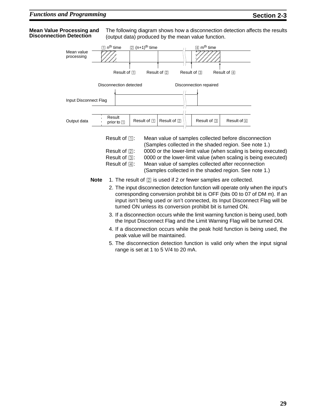### **Mean Value Processing and Disconnection Detection**

The following diagram shows how a disconnection detection affects the results (output data) produced by the mean value function.



- peak value will be maintained.
- 5. The disconnection detection function is valid only when the input signal range is set at 1 to 5 V/4 to 20 mA.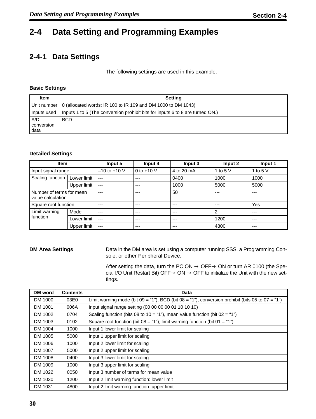# **2-4 Data Setting and Programming Examples**

## **2-4-1 Data Settings**

The following settings are used in this example.

### **Basic Settings**

| <b>Item</b>               | <b>Setting</b>                                                                |
|---------------------------|-------------------------------------------------------------------------------|
|                           | Unit number   0 (allocated words: IR 100 to IR 109 and DM 1000 to DM 1043)    |
| Inputs used               | Inputs 1 to 5 (The conversion prohibit bits for inputs 6 to 8 are turned ON.) |
| A/D<br>conversion<br>data | <b>BCD</b>                                                                    |

### **Detailed Settings**

| <b>Item</b>                                   |             | Input 5          | Input 4      | Input 3    | Input 2    | Input 1    |
|-----------------------------------------------|-------------|------------------|--------------|------------|------------|------------|
| Input signal range                            |             | $-10$ to $+10$ V | 0 to $+10$ V | 4 to 20 mA | 1 to 5 $V$ | 1 to 5 $V$ |
| Scaling function   Lower limit                |             | $---$            | $---$        | 0400       | 1000       | 1000       |
|                                               | Upper limit | $---$            | $---$        | 1000       | 5000       | 5000       |
| Number of terms for mean<br>value calculation |             | $--$             | $---$        | 50         | ---        | ---        |
| Square root function                          |             | $---$            | ---          | $---$      | ---        | Yes        |
| Limit warning                                 | Mode        | $---$            | $---$        | $---$      | 2          | $---$      |
| function                                      | Lower limit | $---$            | $---$        | $---$      | 1200       | $- - -$    |
|                                               | Upper limit | $---$            | $---$        | $---$      | 4800       | $- - -$    |

**DM Area Settings** Data in the DM area is set using a computer running SSS, a Programming Console, or other Peripheral Device.

> After setting the data, turn the PC ON  $\rightarrow$  OFF $\rightarrow$  ON or turn AR 0100 (the Special I/O Unit Restart Bit) OFF $\rightarrow$  ON  $\rightarrow$  OFF to initialize the Unit with the new settings.

| DM word | <b>Contents</b> | Data                                                                                                |
|---------|-----------------|-----------------------------------------------------------------------------------------------------|
| DM 1000 | 03E0            | Limit warning mode (bit $09 = 1$ ). BCD (bit $08 = 1$ ). conversion prohibit (bits 05 to $07 = 1$ ) |
| DM 1001 | 006A            | Input signal range setting (00 00 00 00 01 10 10 10)                                                |
| DM 1002 | 0704            | Scaling function (bits 08 to 10 = "1"), mean value function (bit $02 = "1"$ )                       |
| DM 1003 | 0102            | Square root function (bit $08 = 1$ "1"), limit warning function (bit $01 = 1$ "1")                  |
| DM 1004 | 1000            | Input 1 lower limit for scaling                                                                     |
| DM 1005 | 5000            | Input 1 upper limit for scaling                                                                     |
| DM 1006 | 1000            | Input 2 lower limit for scaling                                                                     |
| DM 1007 | 5000            | Input 2 upper limit for scaling                                                                     |
| DM 1008 | 0400            | Input 3 lower limit for scaling                                                                     |
| DM 1009 | 1000            | Input 3 upper limit for scaling                                                                     |
| DM 1022 | 0050            | Input 3 number of terms for mean value                                                              |
| DM 1030 | 1200            | Input 2 limit warning function: lower limit                                                         |
| DM 1031 | 4800            | Input 2 limit warning function: upper limit                                                         |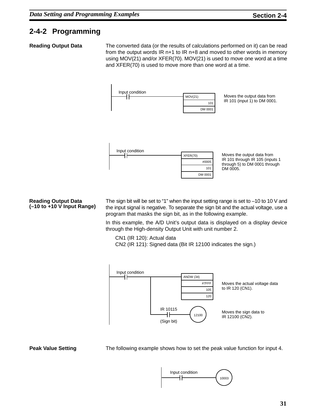## **2-4-2 Programming**

**Reading Output Data** The converted data (or the results of calculations performed on it) can be read from the output words IR n+1 to IR n+8 and moved to other words in memory using MOV(21) and/or XFER(70). MOV(21) is used to move one word at a time and XFER(70) is used to move more than one word at a time.



### **Reading Output Data (–10 to +10 V Input Range)**

The sign bit will be set to "1" when the input setting range is set to –10 to 10 V and the input signal is negative. To separate the sign bit and the actual voltage, use a program that masks the sign bit, as in the following example.

In this example, the A/D Unit's output data is displayed on a display device through the High-density Output Unit with unit number 2.

CN1 (IR 120): Actual data CN2 (IR 121): Signed data (Bit IR 12100 indicates the sign.)



**Peak Value Setting The following example shows how to set the peak value function for input 4.** 

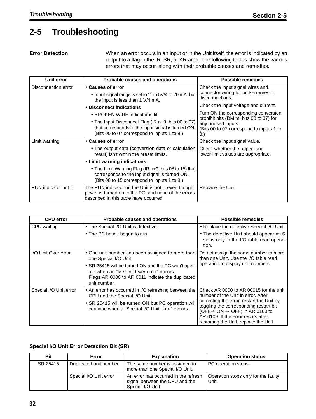# **2-5 Troubleshooting**

**Error Detection** When an error occurs in an input or in the Unit itself, the error is indicated by an output to a flag in the IR, SR, or AR area. The following tables show the various errors that may occur, along with their probable causes and remedies.

| Unit error            | <b>Probable causes and operations</b>                                                                                                                     | <b>Possible remedies</b>                                                                                        |
|-----------------------|-----------------------------------------------------------------------------------------------------------------------------------------------------------|-----------------------------------------------------------------------------------------------------------------|
| Disconnection error   | • Causes of error<br>• Input signal range is set to "1 to 5V/4 to 20 mA" but<br>the input is less than 1 V/4 mA.                                          | Check the input signal wires and<br>connector wiring for broken wires or<br>disconnections.                     |
|                       | • Disconnect indications                                                                                                                                  | Check the input voltage and current.                                                                            |
|                       | • BROKEN WIRE indicator is lit.                                                                                                                           | Turn ON the corresponding conversion                                                                            |
|                       | • The Input Disconnect Flag (IR n+9, bits 00 to 07)<br>that corresponds to the input signal is turned ON.<br>(Bits 00 to 07 correspond to inputs 1 to 8.) | prohibit bits (DM m, bits 00 to 07) for<br>any unused inputs.<br>(Bits 00 to 07 correspond to inputs 1 to<br>8. |
| Limit warning         | • Causes of error                                                                                                                                         | Check the input signal value.                                                                                   |
|                       | • The output data (conversion data or calculation<br>result) isn't within the preset limits.                                                              | Check whether the upper- and<br>lower-limit values are appropriate.                                             |
|                       | • Limit warning indications                                                                                                                               |                                                                                                                 |
|                       | • The Limit Warning Flag (IR n+9, bits 08 to 15) that<br>corresponds to the input signal is turned ON.<br>(Bits 08 to 15 correspond to inputs 1 to 8.)    |                                                                                                                 |
| RUN indicator not lit | The RUN indicator on the Unit is not lit even though<br>power is turned on to the PC, and none of the errors<br>described in this table have occurred.    | Replace the Unit.                                                                                               |

| <b>CPU error</b>       | Probable causes and operations                                                                                                                                       | <b>Possible remedies</b>                                                                                                                                                                                                      |  |
|------------------------|----------------------------------------------------------------------------------------------------------------------------------------------------------------------|-------------------------------------------------------------------------------------------------------------------------------------------------------------------------------------------------------------------------------|--|
| CPU waiting            | • The Special I/O Unit is defective.                                                                                                                                 | • Replace the defective Special I/O Unit.                                                                                                                                                                                     |  |
|                        | • The PC hasn't begun to run.                                                                                                                                        | • The defective Unit should appear as \$<br>signs only in the I/O table read opera-<br>tion.                                                                                                                                  |  |
| I/O Unit Over error    | • One unit number has been assigned to more than<br>one Special I/O Unit.                                                                                            | Do not assign the same number to more<br>than one Unit. Use the I/O table read<br>operation to display unit numbers.                                                                                                          |  |
|                        | • SR 25415 will be turned ON and the PC won't oper-<br>ate when an "I/O Unit Over error" occurs.<br>Flags AR 0000 to AR 0011 indicate the duplicated<br>unit number. |                                                                                                                                                                                                                               |  |
| Special I/O Unit error | • An error has occurred in I/O refreshing between the<br>CPU and the Special I/O Unit.                                                                               | Check AR 0000 to AR 00015 for the unit<br>number of the Unit in error. After                                                                                                                                                  |  |
|                        | • SR 25415 will be turned ON but PC operation will<br>continue when a "Special I/O Unit error" occurs.                                                               | correcting the error, restart the Unit by<br>toggling the corresponding restart bit<br>(OFF $\rightarrow$ ON $\rightarrow$ OFF) in AR 0100 to<br>AR 0109. If the error recurs after<br>restarting the Unit, replace the Unit. |  |

### **Special I/O Unit Error Detection Bit (SR)**

| <b>Bit</b> | Error                  | <b>Explanation</b>                                                                         | <b>Operation status</b>                      |
|------------|------------------------|--------------------------------------------------------------------------------------------|----------------------------------------------|
| SR 25415   | Duplicated unit number | The same number is assigned to<br>more than one Special I/O Unit.                          | PC operation stops.                          |
|            | Special I/O Unit error | An error has occurred in the refresh<br>signal between the CPU and the<br>Special I/O Unit | Operation stops only for the faulty<br>Unit. |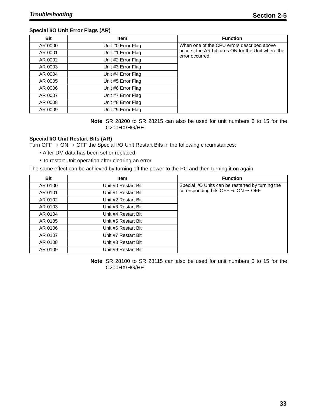### **Special I/O Unit Error Flags (AR)**

| <b>Bit</b> | <b>Item</b>        | <b>Function</b>                                                       |
|------------|--------------------|-----------------------------------------------------------------------|
| AR 0000    | Unit #0 Error Flag | When one of the CPU errors described above                            |
| AR 0001    | Unit #1 Error Flag | occurs, the AR bit turns ON for the Unit where the<br>error occurred. |
| AR 0002    | Unit #2 Error Flag |                                                                       |
| AR 0003    | Unit #3 Error Flag |                                                                       |
| AR 0004    | Unit #4 Error Flag |                                                                       |
| AR 0005    | Unit #5 Error Flag |                                                                       |
| AR 0006    | Unit #6 Error Flag |                                                                       |
| AR 0007    | Unit #7 Error Flag |                                                                       |
| AR 0008    | Unit #8 Error Flag |                                                                       |
| AR 0009    | Unit #9 Error Flag |                                                                       |

**Note** SR 28200 to SR 28215 can also be used for unit numbers 0 to 15 for the C200HX/HG/HE.

### **Special I/O Unit Restart Bits (AR)**

Turn OFF  $\rightarrow$  ON  $\rightarrow$  OFF the Special I/O Unit Restart Bits in the following circumstances:

- After DM data has been set or replaced.
- To restart Unit operation after clearing an error.

The same effect can be achieved by turning off the power to the PC and then turning it on again.

| Bit     | <b>Item</b>         | <b>Function</b>                                            |
|---------|---------------------|------------------------------------------------------------|
| AR 0100 | Unit #0 Restart Bit | Special I/O Units can be restarted by turning the          |
| AR 0101 | Unit #1 Restart Bit | corresponding bits OFF $\rightarrow$ ON $\rightarrow$ OFF. |
| AR 0102 | Unit #2 Restart Bit |                                                            |
| AR 0103 | Unit #3 Restart Bit |                                                            |
| AR 0104 | Unit #4 Restart Bit |                                                            |
| AR 0105 | Unit #5 Restart Bit |                                                            |
| AR 0106 | Unit #6 Restart Bit |                                                            |
| AR 0107 | Unit #7 Restart Bit |                                                            |
| AR 0108 | Unit #8 Restart Bit |                                                            |
| AR 0109 | Unit #9 Restart Bit |                                                            |

**Note** SR 28100 to SR 28115 can also be used for unit numbers 0 to 15 for the C200HX/HG/HE.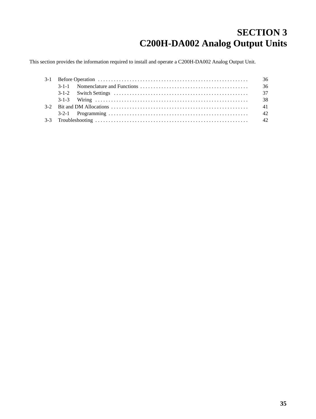# **SECTION 3 C200H-DA002 Analog Output Units**

This section provides the information required to install and operate a C200H-DA002 Analog Output Unit.

|  | 36   |
|--|------|
|  |      |
|  | 37   |
|  | - 38 |
|  |      |
|  |      |
|  |      |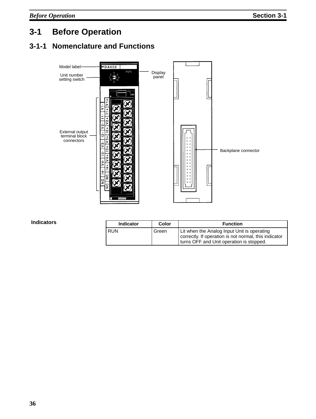# **3-1 Before Operation**

## **3-1-1 Nomenclature and Functions**



**Indicators**

| <b>Indicator</b> | Color | <b>Function</b>                                                                                                                                  |
|------------------|-------|--------------------------------------------------------------------------------------------------------------------------------------------------|
| <b>RUN</b>       | Green | Lit when the Analog Input Unit is operating<br>correctly. If operation is not normal, this indicator<br>turns OFF and Unit operation is stopped. |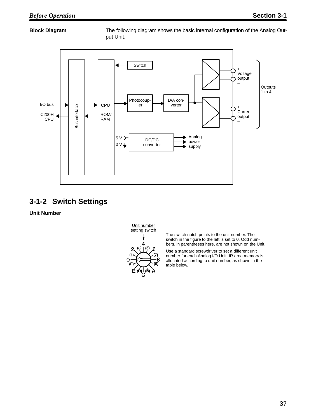**Block Diagram** The following diagram shows the basic internal configuration of the Analog Output Unit.



### **3-1-2 Switch Settings**

**Unit Number**



The switch notch points to the unit number. The switch in the figure to the left is set to 0. Odd numbers, in parentheses here, are not shown on the Unit.

Use a standard screwdriver to set a different unit number for each Analog I/O Unit. IR area memory is allocated according to unit number, as shown in the table below.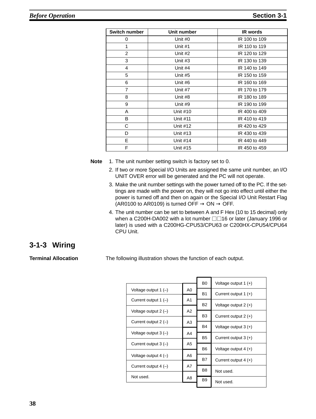| Switch number  | Unit number     | <b>IR</b> words |
|----------------|-----------------|-----------------|
| 0              | Unit #0         | IR 100 to 109   |
| 1              | Unit #1         | IR 110 to 119   |
| $\overline{2}$ | Unit #2         | IR 120 to 129   |
| 3              | Unit #3         | IR 130 to 139   |
| 4              | Unit #4         | IR 140 to 149   |
| 5              | Unit #5         | IR 150 to 159   |
| 6              | Unit #6         | IR 160 to 169   |
| $\overline{7}$ | Unit #7         | IR 170 to 179   |
| 8              | Unit #8         | IR 180 to 189   |
| 9              | Unit #9         | IR 190 to 199   |
| A              | Unit #10        | IR 400 to 409   |
| B              | <b>Unit #11</b> | IR 410 to 419   |
| C              | Unit #12        | IR 420 to 429   |
| D              | Unit #13        | IR 430 to 439   |
| E              | Unit #14        | IR 440 to 449   |
| F              | Unit #15        | IR 450 to 459   |

**Note** 1. The unit number setting switch is factory set to 0.

- 2. If two or more Special I/O Units are assigned the same unit number, an I/O UNIT OVER error will be generated and the PC will not operate.
- 3. Make the unit number settings with the power turned off to the PC. If the settings are made with the power on, they will not go into effect until either the power is turned off and then on again or the Special I/O Unit Restart Flag (AR0100 to AR0109) is turned OFF  $\rightarrow$  ON  $\rightarrow$  OFF.
- 4. The unit number can be set to between A and F Hex (10 to 15 decimal) only when a C200H-DA002 with a lot number  $\Box$ 16 or later (January 1996 or later) is used with a C200HG-CPU53/CPU63 or C200HX-CPU54/CPU64 CPU Unit.

### **3-1-3 Wiring**

**Terminal Allocation** The following illustration shows the function of each output.

|                          |    | B <sub>0</sub> | Voltage output 1 $(+)$ |
|--------------------------|----|----------------|------------------------|
| Voltage output 1 $(-)$   | A0 |                |                        |
|                          |    | <b>B1</b>      | Current output $1 (+)$ |
| Current output $1(-)$    | A1 | <b>B2</b>      | Voltage output $2 (+)$ |
| Voltage output $2$ $(-)$ | A2 |                |                        |
|                          |    | B <sub>3</sub> | Current output $2 (+)$ |
| Current output $2$ (-)   | A3 | <b>B4</b>      | Voltage output $3 (+)$ |
| Voltage output $3(-)$    | A4 |                |                        |
|                          |    | B <sub>5</sub> | Current output $3 (+)$ |
| Current output $3(-)$    | A5 | B <sub>6</sub> | Voltage output $4 (+)$ |
| Voltage output $4(-)$    | A6 |                |                        |
|                          |    | <b>B7</b>      | Current output $4 (+)$ |
| Current output $4(-)$    | A7 |                |                        |
| Not used.                |    | B <sub>8</sub> | Not used.              |
|                          | A8 | B <sub>9</sub> | Not used.              |
|                          |    |                |                        |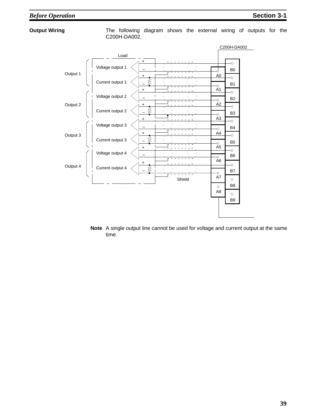### *Before Operation* **Section 3-1**

**Output Wiring** The following diagram shows the external wiring of outputs for the C200H-DA002.



**Note** A single output line cannot be used for voltage and current output at the same time.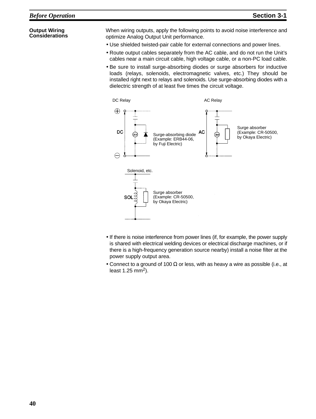### **Output Wiring Considerations**

When wiring outputs, apply the following points to avoid noise interference and optimize Analog Output Unit performance.

- Use shielded twisted-pair cable for external connections and power lines.
- Route output cables separately from the AC cable, and do not run the Unit's cables near a main circuit cable, high voltage cable, or a non-PC load cable.
- Be sure to install surge-absorbing diodes or surge absorbers for inductive loads (relays, solenoids, electromagnetic valves, etc.) They should be installed right next to relays and solenoids. Use surge-absorbing diodes with a dielectric strength of at least five times the circuit voltage.



- If there is noise interference from power lines (if, for example, the power supply is shared with electrical welding devices or electrical discharge machines, or if there is a high-frequency generation source nearby) install a noise filter at the power supply output area.
- Connect to a ground of 100  $\Omega$  or less, with as heavy a wire as possible (i.e., at least  $1.25$  mm<sup>2</sup>).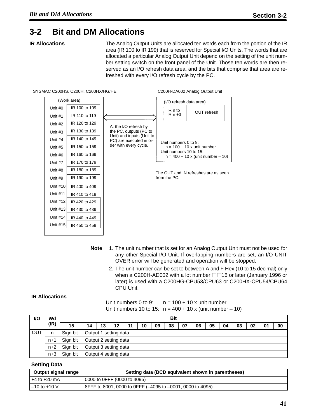## **3-2 Bit and DM Allocations**

**IR Allocations** The Analog Output Units are allocated ten words each from the portion of the IR area (IR 100 to IR 199) that is reserved for Special I/O Units. The words that are allocated a particular Analog Output Unit depend on the setting of the unit number setting switch on the front panel of the Unit. Those ten words are then reserved as an I/O refresh data area, and the bits that comprise that area are refreshed with every I/O refresh cycle by the PC.



- **Note** 1. The unit number that is set for an Analog Output Unit must not be used for any other Special I/O Unit. If overlapping numbers are set, an I/O UNIT OVER error will be generated and operation will be stopped.
	- 2. The unit number can be set to between A and F Hex (10 to 15 decimal) only when a C200H-AD002 with a lot number  $\Box$  16 or later (January 1996 or later) is used with a C200HG-CPU53/CPU63 or C200HX-CPU54/CPU64 CPU Unit.

### **IR Allocations**

Unit numbers 0 to 9:  $n = 100 + 10x$  unit number Unit numbers 10 to 15:  $n = 400 + 10 \times (unit number - 10)$ 

| <b>VO</b>  | Wd    |          | <b>Bit</b> |                       |                       |    |    |    |    |    |    |    |    |    |    |    |    |
|------------|-------|----------|------------|-----------------------|-----------------------|----|----|----|----|----|----|----|----|----|----|----|----|
|            | (IR)  | 15       | 14         | 13                    | 12                    | 11 | 10 | 09 | 08 | 07 | 06 | 05 | 04 | 03 | 02 | 01 | 00 |
| <b>OUT</b> | n     | Sign bit |            |                       | Output 1 setting data |    |    |    |    |    |    |    |    |    |    |    |    |
|            | $n+1$ | Sign bit |            | Output 2 setting data |                       |    |    |    |    |    |    |    |    |    |    |    |    |
|            | $n+2$ | Sign bit |            | Output 3 setting data |                       |    |    |    |    |    |    |    |    |    |    |    |    |
|            | $n+3$ | Sign bit |            | Output 4 setting data |                       |    |    |    |    |    |    |    |    |    |    |    |    |

### **Setting Data**

| Output signal range | Setting data (BCD equivalent shown in parentheses)        |  |  |  |  |  |
|---------------------|-----------------------------------------------------------|--|--|--|--|--|
| $+4$ to $+20$ mA    | 0000 to 0FFF (0000 to 4095)                               |  |  |  |  |  |
| $-10$ to $+10$ V    | 8FFF to 8001, 0000 to 0FFF (-4095 to -0001, 0000 to 4095) |  |  |  |  |  |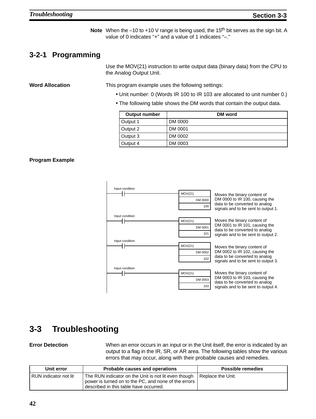**Note** When the –10 to +10 V range is being used, the 15<sup>th</sup> bit serves as the sign bit. A value of 0 indicates "+" and a value of 1 indicates "–."

## **3-2-1 Programming**

Use the MOV(21) instruction to write output data (binary data) from the CPU to the Analog Output Unit.

**Word Allocation** This program example uses the following settings:

- Unit number: 0 (Words IR 100 to IR 103 are allocated to unit number 0.)
- The following table shows the DM words that contain the output data.

| <b>Output number</b> | DM word |
|----------------------|---------|
| Output 1             | DM 0000 |
| Output 2             | DM 0001 |
| Output 3             | DM 0002 |
| Output 4             | DM 0003 |

### **Program Example**



## **3-3 Troubleshooting**

**Error Detection** When an error occurs in an input or in the Unit itself, the error is indicated by an output to a flag in the IR, SR, or AR area. The following tables show the various errors that may occur, along with their probable causes and remedies.

| Unit error              | Probable causes and operations                                                                                                                         | <b>Possible remedies</b> |
|-------------------------|--------------------------------------------------------------------------------------------------------------------------------------------------------|--------------------------|
| I RUN indicator not lit | The RUN indicator on the Unit is not lit even though<br>power is turned on to the PC, and none of the errors<br>described in this table have occurred. | Replace the Unit.        |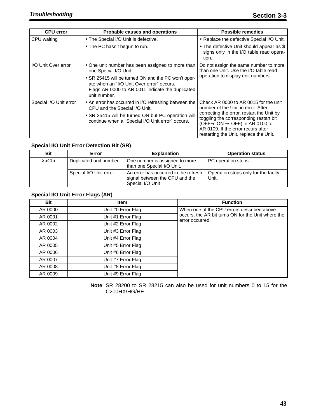| <b>CPU error</b>       | Probable causes and operations                                                                                                                                                                   | Possible remedies                                                                                                                                                                                                                                                                                            |
|------------------------|--------------------------------------------------------------------------------------------------------------------------------------------------------------------------------------------------|--------------------------------------------------------------------------------------------------------------------------------------------------------------------------------------------------------------------------------------------------------------------------------------------------------------|
| CPU waiting            | • The Special I/O Unit is defective.                                                                                                                                                             | • Replace the defective Special I/O Unit.                                                                                                                                                                                                                                                                    |
|                        | • The PC hasn't begun to run.                                                                                                                                                                    | • The defective Unit should appear as \$<br>signs only in the I/O table read opera-<br>tion.                                                                                                                                                                                                                 |
| I/O Unit Over error    | • One unit number has been assigned to more than<br>one Special I/O Unit.                                                                                                                        | Do not assign the same number to more<br>than one Unit. Use the I/O table read                                                                                                                                                                                                                               |
|                        | • SR 25415 will be turned ON and the PC won't oper-<br>ate when an "I/O Unit Over error" occurs.<br>Flags AR 0000 to AR 0011 indicate the duplicated<br>unit number.                             | operation to display unit numbers.                                                                                                                                                                                                                                                                           |
| Special I/O Unit error | • An error has occurred in I/O refreshing between the<br>CPU and the Special I/O Unit.<br>• SR 25415 will be turned ON but PC operation will<br>continue when a "Special I/O Unit error" occurs. | Check AR 0000 to AR 0015 for the unit<br>number of the Unit in error. After<br>correcting the error, restart the Unit by<br>toggling the corresponding restart bit<br>(OFF $\rightarrow$ ON $\rightarrow$ OFF) in AR 0100 to<br>AR 0109. If the error recurs after<br>restarting the Unit, replace the Unit. |

### **Special I/O Unit Error Detection Bit (SR)**

| <b>Bit</b> | Error                  | <b>Explanation</b>                                                                         | <b>Operation status</b>                      |
|------------|------------------------|--------------------------------------------------------------------------------------------|----------------------------------------------|
| 25415      | Duplicated unit number | One number is assigned to more<br>than one Special I/O Unit.                               | PC operation stops.                          |
|            | Special I/O Unit error | An error has occurred in the refresh<br>signal between the CPU and the<br>Special I/O Unit | Operation stops only for the faulty<br>Unit. |

### **Special I/O Unit Error Flags (AR)**

| <b>Bit</b> | <b>Item</b>        | <b>Function</b>                                                       |
|------------|--------------------|-----------------------------------------------------------------------|
| AR 0000    | Unit #0 Error Flag | When one of the CPU errors described above                            |
| AR 0001    | Unit #1 Error Flag | occurs, the AR bit turns ON for the Unit where the<br>error occurred. |
| AR 0002    | Unit #2 Error Flag |                                                                       |
| AR 0003    | Unit #3 Error Flag |                                                                       |
| AR 0004    | Unit #4 Error Flag |                                                                       |
| AR 0005    | Unit #5 Error Flag |                                                                       |
| AR 0006    | Unit #6 Error Flag |                                                                       |
| AR 0007    | Unit #7 Error Flag |                                                                       |
| AR 0008    | Unit #8 Error Flag |                                                                       |
| AR 0009    | Unit #9 Error Flag |                                                                       |

**Note** SR 28200 to SR 28215 can also be used for unit numbers 0 to 15 for the C200HX/HG/HE.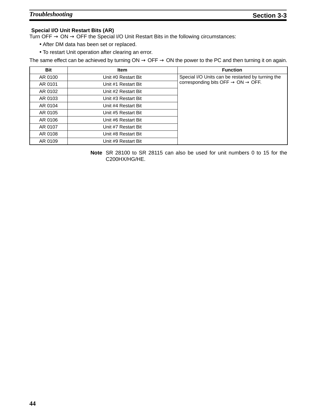### **Special I/O Unit Restart Bits (AR)**

Turn OFF  $\rightarrow$  ON  $\rightarrow$  OFF the Special I/O Unit Restart Bits in the following circumstances:

- After DM data has been set or replaced.
- To restart Unit operation after clearing an error.

The same effect can be achieved by turning  $ON \rightarrow OFF \rightarrow ON$  the power to the PC and then turning it on again.

| Bit     | <b>Item</b>         | <b>Function</b>                                            |
|---------|---------------------|------------------------------------------------------------|
| AR 0100 | Unit #0 Restart Bit | Special I/O Units can be restarted by turning the          |
| AR 0101 | Unit #1 Restart Bit | corresponding bits OFF $\rightarrow$ ON $\rightarrow$ OFF. |
| AR 0102 | Unit #2 Restart Bit |                                                            |
| AR 0103 | Unit #3 Restart Bit |                                                            |
| AR 0104 | Unit #4 Restart Bit |                                                            |
| AR 0105 | Unit #5 Restart Bit |                                                            |
| AR 0106 | Unit #6 Restart Bit |                                                            |
| AR 0107 | Unit #7 Restart Bit |                                                            |
| AR 0108 | Unit #8 Restart Bit |                                                            |
| AR 0109 | Unit #9 Restart Bit |                                                            |

**Note** SR 28100 to SR 28115 can also be used for unit numbers 0 to 15 for the C200HX/HG/HE.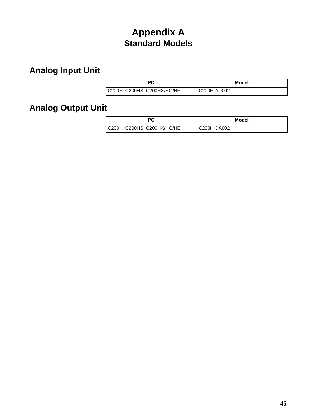# **Appendix A Standard Models**

# **Analog Input Unit**

| РC                          | Model       |
|-----------------------------|-------------|
| C200H, C200HS, C200HX/HG/HE | C200H-AD002 |

# **Analog Output Unit**

| <b>PC</b>                   | Model       |
|-----------------------------|-------------|
| C200H, C200HS, C200HX/HG/HE | C200H-DA002 |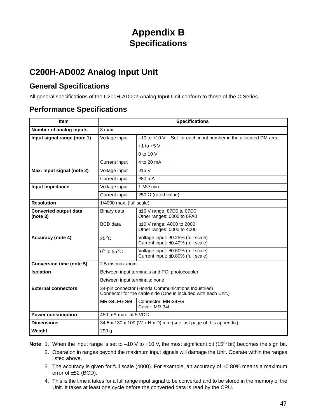# **Appendix B Specifications**

# **C200H-AD002 Analog Input Unit**

## **General Specifications**

All general specifications of the C200H-AD002 Analog Input Unit conform to those of the C Series.

## **Performance Specifications**

| <b>Item</b>                              | <b>Specifications</b>                                                                                                |                                                              |                                                                              |
|------------------------------------------|----------------------------------------------------------------------------------------------------------------------|--------------------------------------------------------------|------------------------------------------------------------------------------|
| Number of analog inputs                  | 8 max.                                                                                                               |                                                              |                                                                              |
| Input signal range (note 1)              | Voltage input                                                                                                        | $-10$ to $+10$ V                                             | Set for each input number in the allocated DM area.                          |
|                                          |                                                                                                                      | $+1$ to $+5$ V                                               |                                                                              |
|                                          |                                                                                                                      | $0$ to 10 V                                                  |                                                                              |
|                                          | Current input                                                                                                        | 4 to 20 mA                                                   |                                                                              |
| Max. input signal (note 2)               | Voltage input                                                                                                        | $±15$ V                                                      |                                                                              |
|                                          | Current input                                                                                                        | $\pm 30$ mA                                                  |                                                                              |
| Input impedance                          | Voltage input                                                                                                        | 1 M $\Omega$ min.                                            |                                                                              |
|                                          | Current input                                                                                                        | 250 $\Omega$ (rated value)                                   |                                                                              |
| <b>Resolution</b>                        | $1/4000$ max. (full scale)                                                                                           |                                                              |                                                                              |
| <b>Converted output data</b><br>(note 3) | Binary data                                                                                                          | $±10$ V range: 87D0 to 07D0<br>Other ranges: 0000 to 0FA0    |                                                                              |
|                                          | <b>BCD</b> data                                                                                                      | $\pm$ 10 V range: A000 to 2000<br>Other ranges: 0000 to 4000 |                                                                              |
| Accuracy (note 4)                        | $25^{\circ}$ C                                                                                                       |                                                              | Voltage input: ±0.25% (full scale)<br>Current input: ±0.40% (full scale)     |
|                                          | $0^{\circ}$ to 55 $^{\circ}$ C                                                                                       |                                                              | Voltage input: ±0.60% (full scale)<br>Current input: ±0.80% (full scale)     |
| <b>Conversion time (note 5)</b>          | 2.5 ms max./point                                                                                                    |                                                              |                                                                              |
| <b>Isolation</b>                         | Between input terminals and PC: photocoupler                                                                         |                                                              |                                                                              |
|                                          | Between input terminals: none                                                                                        |                                                              |                                                                              |
| <b>External connectors</b>               | 34-pin connector (Honda Communications Industries)<br>Connector for the cable side (One is included with each Unit.) |                                                              |                                                                              |
|                                          | MR-34LFG Set                                                                                                         | Connector: MR-34FG<br>Cover: MR-34L                          |                                                                              |
| <b>Power consumption</b>                 | 450 mA max. at 5 VDC                                                                                                 |                                                              |                                                                              |
| <b>Dimensions</b>                        |                                                                                                                      |                                                              | $34.5 \times 130 \times 109$ (W x H x D) mm (see last page of this appendix) |
| Weight                                   | 290q                                                                                                                 |                                                              |                                                                              |

Note 1. When the input range is set to –10 V to +10 V, the most significant bit (15<sup>th</sup> bit) becomes the sign bit.

- 2. Operation in ranges beyond the maximum input signals will damage the Unit. Operate within the ranges listed above.
- 3. The accuracy is given for full scale (4000). For example, an accuracy of ±0.80% means a maximum error of ±32 (BCD).
- 4. This is the time it takes for a full range input signal to be converted and to be stored in the memory of the Unit. It takes at least one cycle before the converted data is read by the CPU.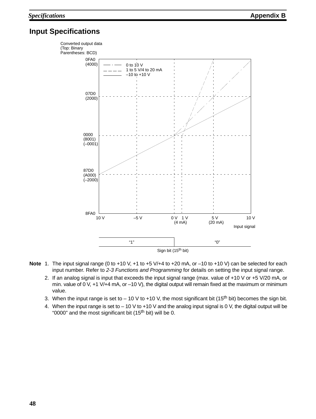## **Input Specifications**



- **Note** 1. The input signal range (0 to +10 V, +1 to +5 V/+4 to +20 mA, or –10 to +10 V) can be selected for each input number. Refer to 2-3 Functions and Programming for details on setting the input signal range.
	- 2. If an analog signal is input that exceeds the input signal range (max. value of +10 V or +5 V/20 mA, or min. value of 0 V, +1 V/+4 mA, or -10 V), the digital output will remain fixed at the maximum or minimum value.
	- 3. When the input range is set to  $-10$  V to +10 V, the most significant bit (15<sup>th</sup> bit) becomes the sign bit.
	- 4. When the input range is set to 10 V to +10 V and the analog input signal is 0 V, the digital output will be "0000" and the most significant bit  $(15<sup>th</sup>$  bit) will be 0.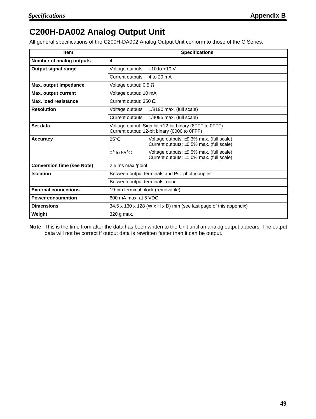# **C200H-DA002 Analog Output Unit**

All general specifications of the C200H-DA002 Analog Output Unit conform to those of the C Series.

| <b>Item</b>                       | <b>Specifications</b>                                                                                  |                                                                                            |  |  |
|-----------------------------------|--------------------------------------------------------------------------------------------------------|--------------------------------------------------------------------------------------------|--|--|
| Number of analog outputs          | 4                                                                                                      |                                                                                            |  |  |
| Output signal range               | Voltage outputs                                                                                        | $-10$ to $+10$ V                                                                           |  |  |
|                                   | <b>Current outputs</b>                                                                                 | 4 to 20 mA                                                                                 |  |  |
| Max. output impedance             | Voltage output: $0.5 \Omega$                                                                           |                                                                                            |  |  |
| Max. output current               | Voltage output: 10 mA                                                                                  |                                                                                            |  |  |
| Max. load resistance              | Current output: 350 $\Omega$                                                                           |                                                                                            |  |  |
| <b>Resolution</b>                 | Voltage outputs                                                                                        | $1/8190$ max. (full scale)                                                                 |  |  |
|                                   | Current outputs                                                                                        | $1/4095$ max. (full scale)                                                                 |  |  |
| Set data                          | Voltage output: Sign bit +12-bit binary (8FFF to 0FFF)<br>Current output: 12-bit binary (0000 to 0FFF) |                                                                                            |  |  |
| <b>Accuracy</b>                   | $25^{\circ}$ C                                                                                         | Voltage outputs: $\pm 0.3\%$ max. (full scale)<br>Current outputs: ±0.5% max. (full scale) |  |  |
|                                   | $0^\circ$ to 55 $^\circ$ C                                                                             | Voltage outputs: ±0.5% max. (full scale)<br>Current outputs: ±1.0% max. (full scale)       |  |  |
| <b>Conversion time (see Note)</b> | 2.5 ms max./point                                                                                      |                                                                                            |  |  |
| <b>Isolation</b>                  |                                                                                                        | Between output terminals and PC: photocoupler                                              |  |  |
|                                   | Between output terminals: none                                                                         |                                                                                            |  |  |
| <b>External connections</b>       | 19-pin terminal block (removable)                                                                      |                                                                                            |  |  |
| <b>Power consumption</b>          | 600 mA max, at 5 VDC                                                                                   |                                                                                            |  |  |
| <b>Dimensions</b>                 | 34.5 x 130 x 128 (W x H x D) mm (see last page of this appendix)                                       |                                                                                            |  |  |
| Weight                            | 320 g max.                                                                                             |                                                                                            |  |  |

**Note** This is the time from after the data has been written to the Unit until an analog output appears. The output data will not be correct if output data is rewritten faster than it can be output.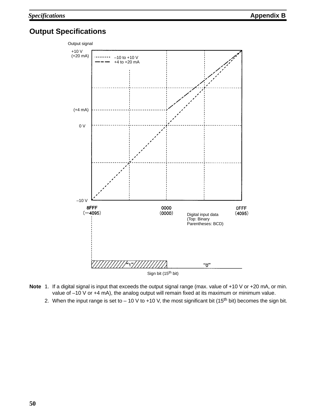## **Output Specifications**



- **Note** 1. If a digital signal is input that exceeds the output signal range (max. value of +10 V or +20 mA, or min. value of -10 V or +4 mA), the analog output will remain fixed at its maximum or minimum value.
	- 2. When the input range is set to  $-10$  V to  $+10$  V, the most significant bit (15<sup>th</sup> bit) becomes the sign bit.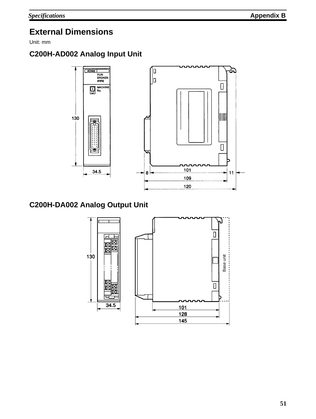# **External Dimensions**

Unit: mm

## **C200H-AD002 Analog Input Unit**



## **C200H-DA002 Analog Output Unit**

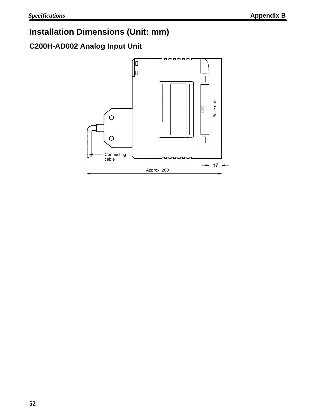# **Installation Dimensions (Unit: mm)**

## **C200H-AD002 Analog Input Unit**

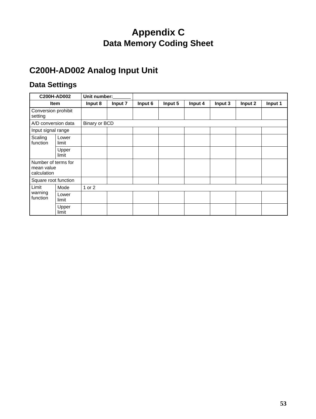# **Appendix C Data Memory Coding Sheet**

# **C200H-AD002 Analog Input Unit**

## **Data Settings**

|                                                  | C200H-AD002    | Unit number:         |         |         |         |         |         |         |         |
|--------------------------------------------------|----------------|----------------------|---------|---------|---------|---------|---------|---------|---------|
|                                                  | Item           | Input 8              | Input 7 | Input 6 | Input 5 | Input 4 | Input 3 | Input 2 | Input 1 |
| Conversion prohibit<br>setting                   |                |                      |         |         |         |         |         |         |         |
| A/D conversion data                              |                | <b>Binary or BCD</b> |         |         |         |         |         |         |         |
| Input signal range                               |                |                      |         |         |         |         |         |         |         |
| Scaling<br>function                              | Lower<br>limit |                      |         |         |         |         |         |         |         |
|                                                  | Upper<br>limit |                      |         |         |         |         |         |         |         |
| Number of terms for<br>mean value<br>calculation |                |                      |         |         |         |         |         |         |         |
| Square root function                             |                |                      |         |         |         |         |         |         |         |
| Limit                                            | Mode           | 1 or 2               |         |         |         |         |         |         |         |
| warning<br>function                              | Lower<br>limit |                      |         |         |         |         |         |         |         |
|                                                  | Upper<br>limit |                      |         |         |         |         |         |         |         |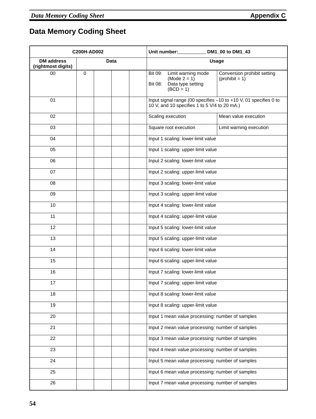# **Data Memory Coding Sheet**

| C200H-AD002                             |             |  | Unit number:<br>DM1_00 to DM1_43                                                                                                                  |
|-----------------------------------------|-------------|--|---------------------------------------------------------------------------------------------------------------------------------------------------|
| <b>DM</b> address<br>(rightmost digits) |             |  | <b>Usage</b>                                                                                                                                      |
| 00                                      | $\mathbf 0$ |  | Limit warning mode<br>Conversion prohibit setting<br>Bit 09:<br>$(Mode 2 = 1)$<br>$(prohibit = 1)$<br>Bit 08:<br>Data type setting<br>$(BCD = 1)$ |
| 01                                      |             |  | Input signal range (00 specifies -10 to +10 V, 01 specifies 0 to<br>10 V, and 10 specifies 1 to 5 V/4 to 20 mA.)                                  |
| 02                                      |             |  | Scaling execution<br>Mean value execution                                                                                                         |
| 03                                      |             |  | Square root execution<br>Limit warning execution                                                                                                  |
| 04                                      |             |  | Input 1 scaling: lower-limit value                                                                                                                |
| 05                                      |             |  | Input 1 scaling: upper-limit value                                                                                                                |
| 06                                      |             |  | Input 2 scaling: lower-limit value                                                                                                                |
| 07                                      |             |  | Input 2 scaling: upper-limit value                                                                                                                |
| 08                                      |             |  | Input 3 scaling: lower-limit value                                                                                                                |
| 09                                      |             |  | Input 3 scaling: upper-limit value                                                                                                                |
| 10                                      |             |  | Input 4 scaling: lower-limit value                                                                                                                |
| 11                                      |             |  | Input 4 scaling: upper-limit value                                                                                                                |
| 12                                      |             |  | Input 5 scaling: lower-limit value                                                                                                                |
| 13                                      |             |  | Input 5 scaling: upper-limit value                                                                                                                |
| 14                                      |             |  | Input 6 scaling: lower-limit value                                                                                                                |
| 15                                      |             |  | Input 6 scaling: upper-limit value                                                                                                                |
| 16                                      |             |  | Input 7 scaling: lower-limit value                                                                                                                |
| 17                                      |             |  | Input 7 scaling: upper-limit value                                                                                                                |
| 18                                      |             |  | Input 8 scaling: lower-limit value                                                                                                                |
| 19                                      |             |  | Input 8 scaling: upper-limit value                                                                                                                |
| 20                                      |             |  | Input 1 mean value processing: number of samples                                                                                                  |
| 21                                      |             |  | Input 2 mean value processing: number of samples                                                                                                  |
| 22                                      |             |  | Input 3 mean value processing: number of samples                                                                                                  |
| 23                                      |             |  | Input 4 mean value processing: number of samples                                                                                                  |
| 24                                      |             |  | Input 5 mean value processing: number of samples                                                                                                  |
| 25                                      |             |  | Input 6 mean value processing: number of samples                                                                                                  |
| 26                                      |             |  | Input 7 mean value processing: number of samples                                                                                                  |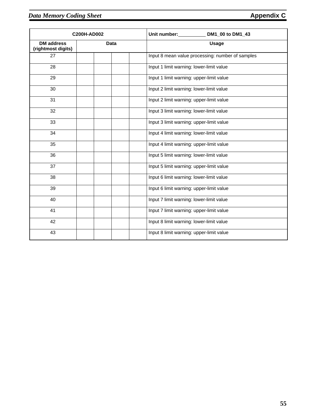|                                         | C200H-AD002 | Unit number:<br>DM1_00 to DM1_43                 |
|-----------------------------------------|-------------|--------------------------------------------------|
| <b>DM</b> address<br>(rightmost digits) | Data        | <b>Usage</b>                                     |
| 27                                      |             | Input 8 mean value processing: number of samples |
| 28                                      |             | Input 1 limit warning: lower-limit value         |
| 29                                      |             | Input 1 limit warning: upper-limit value         |
| 30                                      |             | Input 2 limit warning: lower-limit value         |
| 31                                      |             | Input 2 limit warning: upper-limit value         |
| 32                                      |             | Input 3 limit warning: lower-limit value         |
| 33                                      |             | Input 3 limit warning: upper-limit value         |
| 34                                      |             | Input 4 limit warning: lower-limit value         |
| 35                                      |             | Input 4 limit warning: upper-limit value         |
| 36                                      |             | Input 5 limit warning: lower-limit value         |
| 37                                      |             | Input 5 limit warning: upper-limit value         |
| 38                                      |             | Input 6 limit warning: lower-limit value         |
| 39                                      |             | Input 6 limit warning: upper-limit value         |
| 40                                      |             | Input 7 limit warning: lower-limit value         |
| 41                                      |             | Input 7 limit warning: upper-limit value         |
| 42                                      |             | Input 8 limit warning: lower-limit value         |
| 43                                      |             | Input 8 limit warning: upper-limit value         |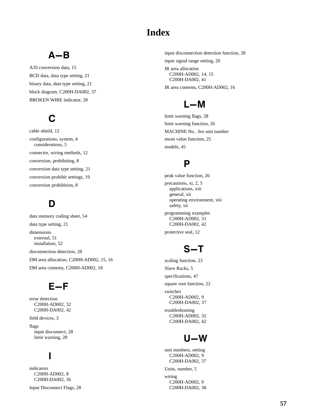## **Index**

# $A - B$

A/D conversion data, 15 BCD data, data type setting, 21 binary data, data type setting, 21 block diagram, C200H-DA002, 37 BROKEN WIRE indicator, 28

# C

cable shield, 12 configurations, system, 4 considerations, 5 connector, wiring methods, 12 conversion, prohibiting, 8 conversion data type setting, 21 conversion prohibit settings, 19 conversion prohibition, 8

# D

data memory coding sheet, 54 data type setting, 21 dimensions external, 51 installation, 52 disconnection detection, 28 DM area allocation, C200H-AD002, 15, 16 DM area contents, C200H-AD002, 18

# $E-F$

error detection C200H-AD002, 32 C200H-DA002, 42

field devices, 3

flags input disconnect, 28 limit warning, 28

## I

indicators C200H-AD002, 8 C200H-DA002, 36

Input Disconnect Flags, 28

input disconnection detection function, 28 input signal range setting, 20 IR area allocation

C200H-AD002, 14, 15 C200H-DA002, 41 IR area contents, C200H-AD002, 16

# $L-M$

limit warning flags, 28 limit warning function, 26 MACHINE No.. *See* unit number mean value function, 25 models, 45

## P

peak value function, 26 precautions, xi, 2, 5 applications, xiii general, xii operating environment, xiii safety, xii programming examples C200H-AD002, 31 C200H-DA002, 42 protective seal, 12

# $S-T$

scaling function, 23 Slave Racks, 5 specifications, 47 square root function, 22 switches C200H-AD002, 9 C200H-DA002, 37 troubleshooting C200H-AD002, 32 C200H-DA002, 42

# $U - W$

unit numbers, setting C200H-AD002, 9 C200H-DA002, 37

Units, number, 5 wiring C200H-AD002, 9 C200H-DA002, 38